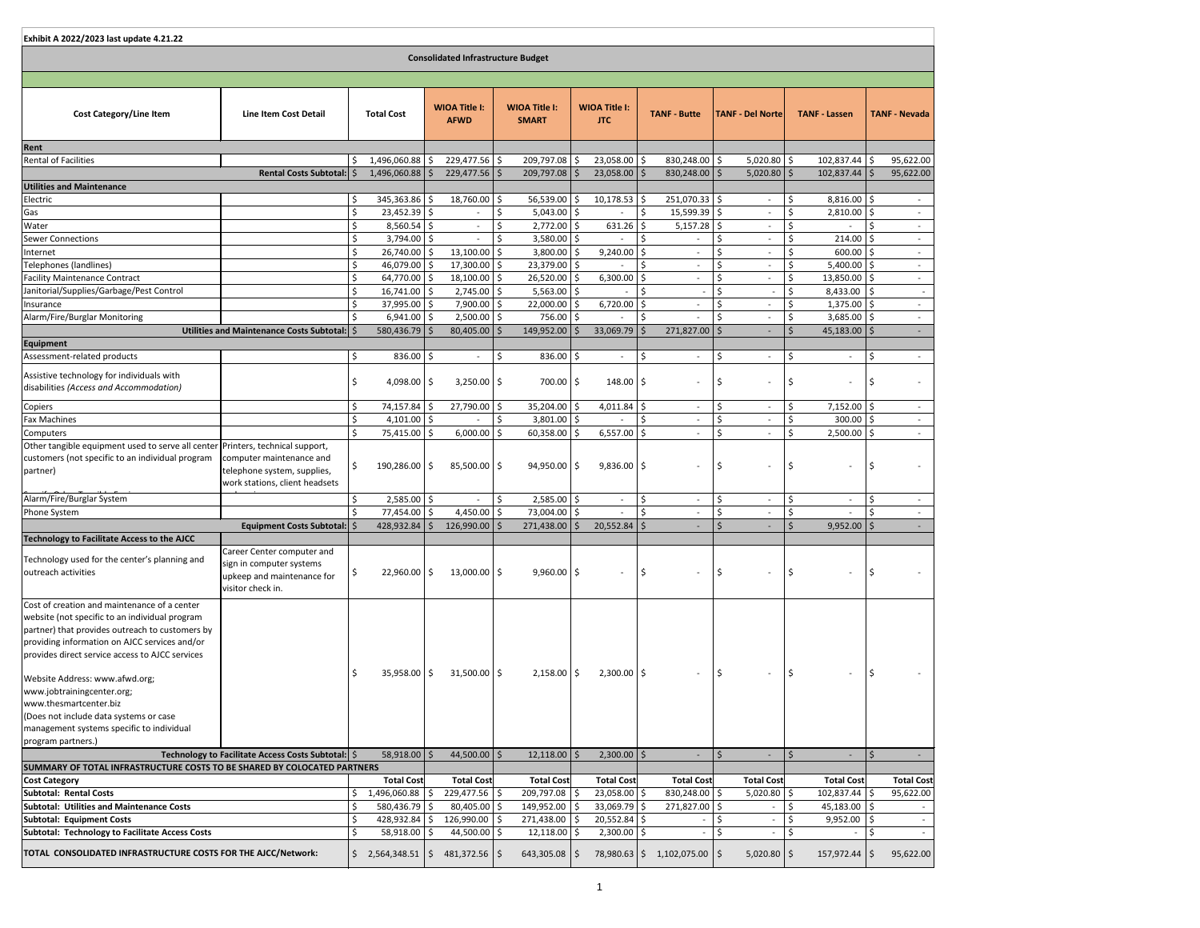| Exhibit A 2022/2023 last update 4.21.22                                                                                                                                                                                                               |                                                                                                           |              |                                             |    |                                     |    |                                      |         |                                    |                |                          |    |                          |               |                      |              |                          |
|-------------------------------------------------------------------------------------------------------------------------------------------------------------------------------------------------------------------------------------------------------|-----------------------------------------------------------------------------------------------------------|--------------|---------------------------------------------|----|-------------------------------------|----|--------------------------------------|---------|------------------------------------|----------------|--------------------------|----|--------------------------|---------------|----------------------|--------------|--------------------------|
| <b>Consolidated Infrastructure Budget</b>                                                                                                                                                                                                             |                                                                                                           |              |                                             |    |                                     |    |                                      |         |                                    |                |                          |    |                          |               |                      |              |                          |
|                                                                                                                                                                                                                                                       |                                                                                                           |              |                                             |    |                                     |    |                                      |         |                                    |                |                          |    |                          |               |                      |              |                          |
| <b>Cost Category/Line Item</b>                                                                                                                                                                                                                        | <b>Line Item Cost Detail</b>                                                                              |              | <b>Total Cost</b>                           |    | <b>WIOA Title I:</b><br><b>AFWD</b> |    | <b>WIOA Title I:</b><br><b>SMART</b> |         | <b>WIOA Title I:</b><br><b>JTC</b> |                | <b>TANF - Butte</b>      |    | <b>TANF - Del Norte</b>  |               | <b>TANF - Lassen</b> |              | <b>TANF - Nevada</b>     |
| Rent                                                                                                                                                                                                                                                  |                                                                                                           |              |                                             |    |                                     |    |                                      |         |                                    |                |                          |    |                          |               |                      |              |                          |
| <b>Rental of Facilities</b>                                                                                                                                                                                                                           |                                                                                                           | \$           | $1,496,060.88$ \$                           |    | $229,477.56$ \$                     |    | 209,797.08 \$                        |         | $23,058.00$   \$                   |                | $830,248.00$ \$          |    | $5,020.80$ \$            |               | $102,837.44$ \$      |              | 95,622.00                |
|                                                                                                                                                                                                                                                       | Rental Costs Subtotal:   \$                                                                               |              | $1,496,060.88$   \$                         |    | $229,477.56$ \$                     |    | $209,797.08$ \$                      |         | $23,058.00$   \$                   |                | $830,248.00$   \$        |    | $5,020.80$ \$            |               | $102,837.44$   \$    |              | 95,622.00                |
| <b>Utilities and Maintenance</b>                                                                                                                                                                                                                      |                                                                                                           |              |                                             |    |                                     |    |                                      |         |                                    |                |                          |    |                          |               |                      |              |                          |
| Electric                                                                                                                                                                                                                                              |                                                                                                           |              | $345,363.86$ $\frac{1}{5}$                  |    | $18,760.00$ \$                      |    | $56,539.00$ $\frac{1}{5}$            |         | $10,178.53$   \$                   |                | 251,070.33   \$          |    | $\overline{\phantom{a}}$ | \$            | $8,816.00$ \$        |              | $\sim$                   |
| Gas                                                                                                                                                                                                                                                   |                                                                                                           |              | $23,452.39$ \$                              |    |                                     |    | $5,043.00$ \$                        |         |                                    |                | $15,599.39$ \$           |    | $\overline{\phantom{a}}$ | Ś             | $2,810.00$ \$        |              | $\overline{\phantom{a}}$ |
| Water                                                                                                                                                                                                                                                 |                                                                                                           |              | $8,560.54$ \$                               |    |                                     |    | $2,772.00$ \$                        |         | 631.26                             |                | $5,157.28$ \$            |    | $\overline{\phantom{a}}$ | Ŝ.            |                      |              | $\sim$                   |
| <b>Sewer Connections</b>                                                                                                                                                                                                                              |                                                                                                           |              | $3,794.00$ \$                               |    |                                     | \$ | $3,580.00$ \$                        |         |                                    |                |                          | Ŝ. |                          | \$            | $214.00$   \$        |              | $\sim$                   |
| Internet                                                                                                                                                                                                                                              |                                                                                                           |              | $26,740.00$   \$                            |    | $13,100.00$ \$                      |    | $3,800.00$ \$                        |         | $9,240.00$ \$                      |                |                          |    | $\overline{\phantom{a}}$ |               | $600.00$   \$        |              | $\sim$                   |
| Telephones (landlines)                                                                                                                                                                                                                                |                                                                                                           |              | 46,079.00 \$                                |    | 17,300.00 \$                        |    | $23,379.00$ \$                       |         |                                    |                | $\overline{\phantom{a}}$ | Ś  | $\overline{\phantom{a}}$ | $\zeta$       | $5,400.00$ \$        |              | $\sim$                   |
| <b>Facility Maintenance Contract</b>                                                                                                                                                                                                                  |                                                                                                           |              | 64,770.00   \$                              |    | $18,100.00$ \$                      |    | 26,520.00 \$                         |         | 6,300.00                           |                | $\overline{a}$           |    | $\overline{\phantom{a}}$ | \$            | $13,850.00$   \$     |              | $\sim$                   |
| Janitorial/Supplies/Garbage/Pest Control                                                                                                                                                                                                              |                                                                                                           |              | $16,741.00$   \$                            |    | $2,745.00$ \$                       |    | $5,563.00$ \$                        |         |                                    |                |                          | Ś  |                          | Ś             | 8,433.00             | l \$         | $\sim$                   |
| Insurance                                                                                                                                                                                                                                             |                                                                                                           |              | 37,995.00 \$                                |    | $7,900.00$ \$                       |    | $22,000.00$ \$                       |         | 6,720.00                           |                | $\overline{\phantom{a}}$ |    | $\overline{\phantom{a}}$ | Ŝ.            | $1,375.00$   \$      |              | $\sim$                   |
| Alarm/Fire/Burglar Monitoring                                                                                                                                                                                                                         |                                                                                                           |              | $6,941.00$ \$                               |    | $2,500.00$   \$                     |    | 756.00 \$                            |         |                                    |                |                          |    |                          |               | $3,685.00$ \$        |              | $\sim$                   |
|                                                                                                                                                                                                                                                       | Utilities and Maintenance Costs Subtotal:   \$                                                            |              | $580,436.79$ $\frac{5}{5}$                  |    | $80,405.00$   \$                    |    | 149,952.00                           |         | $33,069.79$   \$                   |                | 271,827.00   \$          |    |                          | <sup>5</sup>  | $45,183.00$   \$     |              | $\sim$                   |
| Equipment                                                                                                                                                                                                                                             |                                                                                                           |              |                                             |    |                                     |    |                                      |         |                                    |                |                          |    |                          |               |                      |              |                          |
| Assessment-related products                                                                                                                                                                                                                           |                                                                                                           | \$           | $836.00$ \$                                 |    | $\overline{\phantom{a}}$            | \$ | $836.00$ \$                          |         | $\overline{\phantom{a}}$           | $\ddot{\zeta}$ | $\overline{\phantom{a}}$ | Ś. | $\overline{\phantom{a}}$ | \$            |                      |              | $\sim$                   |
| Assistive technology for individuals with<br>disabilities (Access and Accommodation)                                                                                                                                                                  |                                                                                                           |              | 4,098.00 $\vert$ \$                         |    | $3,250.00$   \$                     |    | $700.00$ \$                          |         | $148.00$   \$                      |                | $\overline{\phantom{a}}$ | S, | $\overline{\phantom{a}}$ | \$            |                      |              |                          |
| Copiers                                                                                                                                                                                                                                               |                                                                                                           | $\zeta$      | 74,157.84                                   |    | 27,790.00 \$                        |    | 35,204.00 \$                         |         | $4,011.84$ \$                      |                | $\overline{\phantom{a}}$ | \$ | $\overline{\phantom{a}}$ | \$            | $7,152.00$ \$        |              | $\sim$                   |
| <b>Fax Machines</b>                                                                                                                                                                                                                                   |                                                                                                           |              | $4,101.00$ \$                               |    |                                     | \$ | $3,801.00$ \$                        |         |                                    |                |                          | \$ |                          |               | 300.00               |              | $\sim$                   |
| Computers                                                                                                                                                                                                                                             |                                                                                                           | \$           | 75,415.00 \$                                |    | $6,000.00$ \$                       |    | 60,358.00 \$                         |         | $6,557.00$ \$                      |                |                          | \$ |                          | $\frac{1}{2}$ | $2,500.00$ \$        |              |                          |
| Other tangible equipment used to serve all center Printers, technical support,<br>customers (not specific to an individual program<br>partner)                                                                                                        | computer maintenance and<br>telephone system, supplies,<br>work stations, client headsets                 |              | $190,286.00$   \$                           |    | $85,500.00$   \$                    |    | $94,950.00$ \$                       |         | $9,836.00$ \$                      |                |                          | Ŝ  |                          | − \$⊨         |                      |              |                          |
| Alarm/Fire/Burglar System                                                                                                                                                                                                                             |                                                                                                           |              | $2,585.00$ \$                               |    |                                     |    | $2,585.00$ \$                        |         | $\overline{\phantom{a}}$           |                | $\overline{\phantom{a}}$ |    | $\overline{\phantom{a}}$ |               |                      |              | $\sim$                   |
| Phone System                                                                                                                                                                                                                                          |                                                                                                           |              | 77,454.00 \$                                |    | 4,450.00 $\vert$ \$                 |    | 73,004.00 \$                         |         |                                    |                |                          |    |                          |               |                      |              |                          |
|                                                                                                                                                                                                                                                       | Equipment Costs Subtotal:   \$                                                                            |              | $428,932.84$ \$                             |    | $126,990.00$   \$                   |    | $271,438.00$   \$                    |         | $20,552.84$   \$                   |                |                          |    |                          | <sup>5</sup>  | $9,952.00$   \$      |              | $\sim$                   |
| <b>Technology to Facilitate Access to the AJCC</b>                                                                                                                                                                                                    |                                                                                                           |              |                                             |    |                                     |    |                                      |         |                                    |                |                          |    |                          |               |                      |              |                          |
| Technology used for the center's planning and<br>outreach activities                                                                                                                                                                                  | Career Center computer and<br>sign in computer systems<br>upkeep and maintenance for<br>visitor check in. |              | $22,960.00$   \$                            |    | $13,000.00$   \$                    |    | $9,960.00$ \$                        |         |                                    | ۱\$            |                          | \$ |                          | \$            |                      |              |                          |
| Cost of creation and maintenance of a center<br>website (not specific to an individual program<br>partner) that provides outreach to customers by<br>providing information on AJCC services and/or<br>provides direct service access to AJCC services |                                                                                                           |              | 35,958.00                                   | \$ | $31,500.00$   \$                    |    | $2,158.00$   \$                      |         | $2,300.00$   \$                    |                | $\overline{\phantom{a}}$ | S, |                          | \$ ا          |                      |              |                          |
| Website Address: www.afwd.org;<br>www.jobtrainingcenter.org;<br>www.thesmartcenter.biz<br>(Does not include data systems or case<br>management systems specific to individual<br>program partners.)                                                   |                                                                                                           |              |                                             |    |                                     |    |                                      |         |                                    |                |                          |    |                          |               |                      |              |                          |
|                                                                                                                                                                                                                                                       | Technology to Facilitate Access Costs Subtotal:   \$                                                      |              | $58,918.00$   \$                            |    | 44,500.00                           | \$ | 12,118.00                            | $\zeta$ | $2,300.00$   \$                    |                |                          | Ś. |                          | $\zeta$       |                      | <sub>S</sub> |                          |
| SUMMARY OF TOTAL INFRASTRUCTURE COSTS TO BE SHARED BY COLOCATED PARTNERS                                                                                                                                                                              |                                                                                                           |              |                                             |    |                                     |    |                                      |         |                                    |                |                          |    |                          |               |                      |              |                          |
| <b>Cost Category</b>                                                                                                                                                                                                                                  |                                                                                                           |              | <b>Total Cost</b>                           |    | <b>Total Cost</b>                   |    | <b>Total Cost</b>                    |         | <b>Total Cost</b>                  |                | <b>Total Cost</b>        |    | <b>Total Cost</b>        |               | <b>Total Cost</b>    |              | <b>Total Cost</b>        |
| Subtotal: Rental Costs                                                                                                                                                                                                                                |                                                                                                           |              | 1,496,060.88                                |    | 229,477.56                          |    | 209,797.08 \$                        |         | 23,058.00                          |                | 830,248.00               |    | 5,020.80                 |               | 102,837.44           |              | 95,622.00                |
| <b>Subtotal: Utilities and Maintenance Costs</b>                                                                                                                                                                                                      |                                                                                                           |              | 580,436.79                                  |    | $80,405.00$ \$                      |    | 149,952.00   \$                      |         | 33,069.79                          |                | 271,827.00               |    |                          |               | 45,183.00            |              |                          |
| Subtotal: Equipment Costs                                                                                                                                                                                                                             |                                                                                                           |              | $428,932.84$ \$                             |    | $126,990.00$   \$                   |    | 271,438.00 \$                        |         | $20,552.84$ \$                     |                |                          | Ŝ. |                          | Ŝ.            | $9,952.00$   \$      |              |                          |
| Subtotal: Technology to Facilitate Access Costs<br>TOTAL CONSOLIDATED INFRASTRUCTURE COSTS FOR THE AJCC/Network:                                                                                                                                      |                                                                                                           | $\mathsf{S}$ | $58,918.00$ \$<br>$2,564,348.51$ $\sqrt{5}$ |    | 44,500.00 \$<br>$481,372.56$   \$   |    | $12,118.00$ \$<br>$643,305.08$   \$  |         | $2,300.00$ \$<br>78,980.63 \$      |                | $1,102,075.00$   \$      | \$ | $5,020.80$ \$            | \$            | 157,972.44   \$      | \$           | $\sim$<br>95,622.00      |
|                                                                                                                                                                                                                                                       |                                                                                                           |              |                                             |    |                                     |    |                                      |         |                                    |                |                          |    |                          |               |                      |              |                          |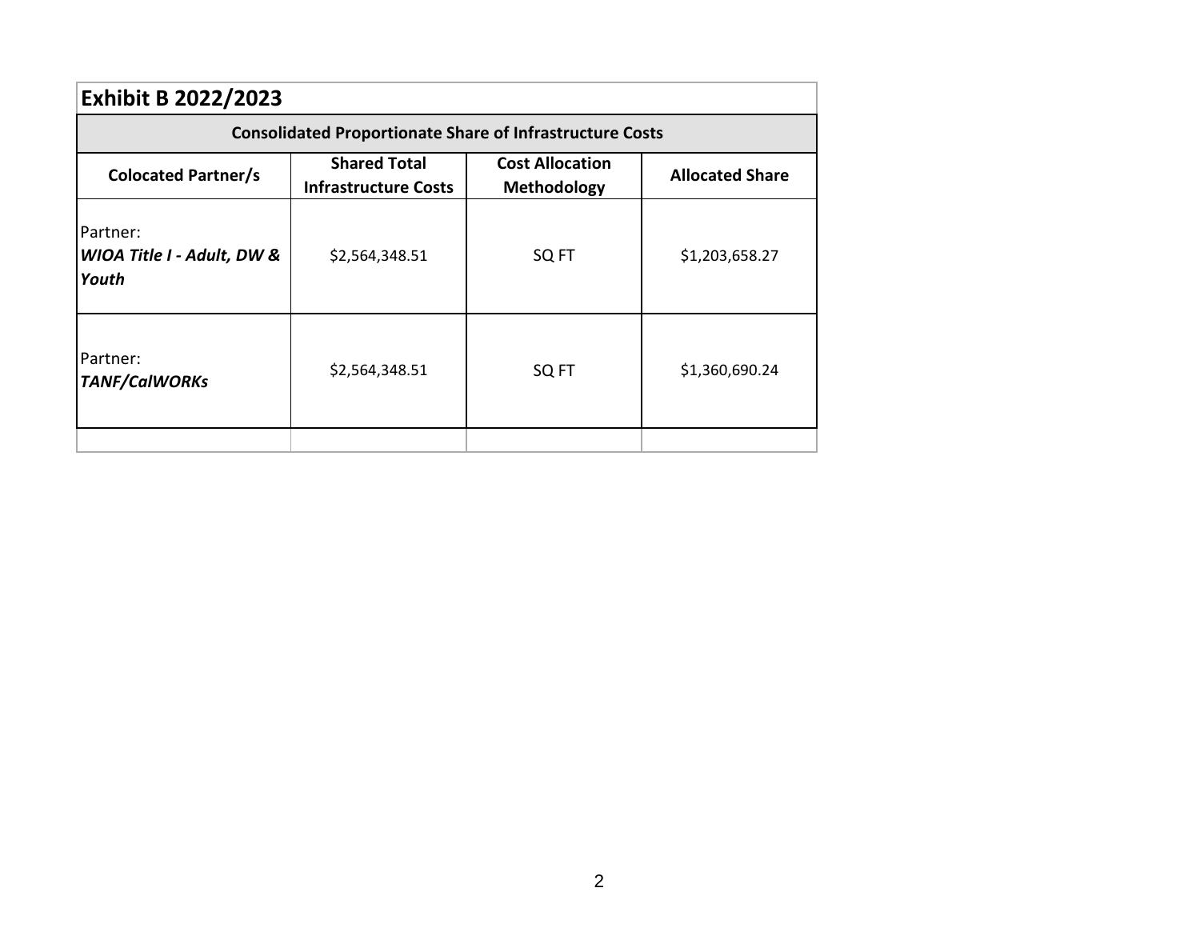| <b>Exhibit B 2022/2023</b>                      |                                                                 |                                              |                        |  |  |  |  |
|-------------------------------------------------|-----------------------------------------------------------------|----------------------------------------------|------------------------|--|--|--|--|
|                                                 | <b>Consolidated Proportionate Share of Infrastructure Costs</b> |                                              |                        |  |  |  |  |
| <b>Colocated Partner/s</b>                      | <b>Shared Total</b><br><b>Infrastructure Costs</b>              | <b>Cost Allocation</b><br><b>Methodology</b> | <b>Allocated Share</b> |  |  |  |  |
| Partner:<br>WIOA Title I - Adult, DW &<br>Youth | \$2,564,348.51                                                  | SQ FT                                        | \$1,203,658.27         |  |  |  |  |
| Partner:<br><b>TANF/CalWORKs</b>                | \$2,564,348.51                                                  | SQ FT                                        | \$1,360,690.24         |  |  |  |  |
|                                                 |                                                                 |                                              |                        |  |  |  |  |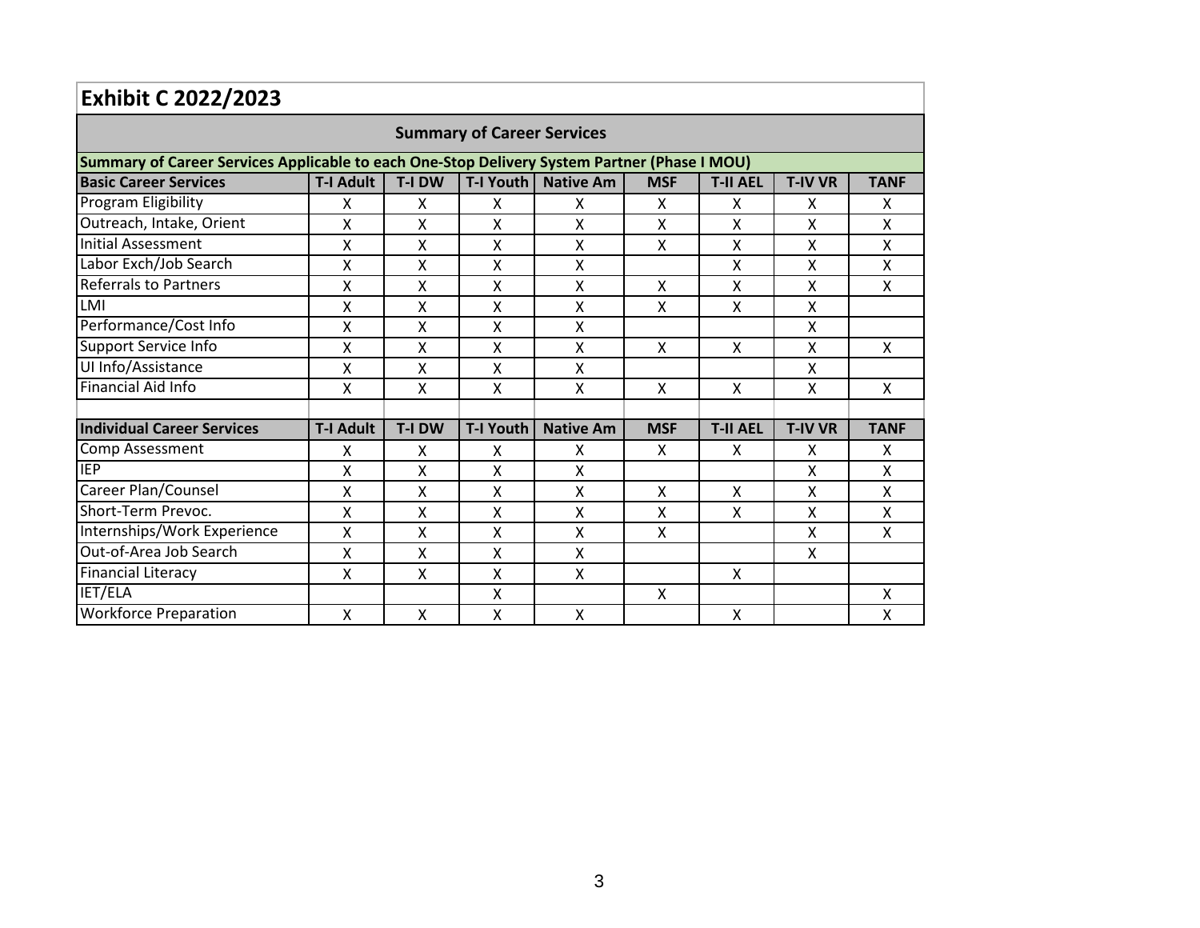| <b>Exhibit C 2022/2023</b>                                                                   |                  |               |                           |                  |            |                 |                |              |  |  |  |
|----------------------------------------------------------------------------------------------|------------------|---------------|---------------------------|------------------|------------|-----------------|----------------|--------------|--|--|--|
| <b>Summary of Career Services</b>                                                            |                  |               |                           |                  |            |                 |                |              |  |  |  |
| Summary of Career Services Applicable to each One-Stop Delivery System Partner (Phase I MOU) |                  |               |                           |                  |            |                 |                |              |  |  |  |
| <b>Basic Career Services</b>                                                                 | <b>T-I Adult</b> | T-I DW        | <b>T-I Youth</b>          | <b>Native Am</b> | <b>MSF</b> | <b>T-II AEL</b> | <b>T-IV VR</b> | <b>TANF</b>  |  |  |  |
| Program Eligibility                                                                          | X                | x             | x                         | x                | X          | X               | X              | X            |  |  |  |
| Outreach, Intake, Orient                                                                     | Χ                | Χ             | X                         | Χ                | Χ          | Χ               | X              | X            |  |  |  |
| Initial Assessment                                                                           | Χ                | X             | X                         | X                | X          | X               | X              | X            |  |  |  |
| Labor Exch/Job Search                                                                        | Χ                | Χ             | $\mathsf{x}$              | X                |            | Χ               | X              | X            |  |  |  |
| <b>Referrals to Partners</b>                                                                 | Χ                | X             | X                         | X                | X          | X               | X              | X            |  |  |  |
| LMI                                                                                          | x                | X             | X                         | X                | x          | X               | X              |              |  |  |  |
| Performance/Cost Info                                                                        | Χ                | Χ             | X                         | Χ                |            |                 | X              |              |  |  |  |
| Support Service Info                                                                         | х                | X             | X                         | X                | X          | X               | X              | X            |  |  |  |
| UI Info/Assistance                                                                           | Χ                | X             | $\boldsymbol{\mathsf{X}}$ | X                |            |                 | Χ              |              |  |  |  |
| Financial Aid Info                                                                           | X                | X             | X                         | X                | X          | X               | Χ              | X            |  |  |  |
|                                                                                              |                  |               |                           |                  |            |                 |                |              |  |  |  |
| <b>Individual Career Services</b>                                                            | <b>T-I Adult</b> | <b>T-I DW</b> | <b>T-I Youth</b>          | <b>Native Am</b> | <b>MSF</b> | <b>T-II AEL</b> | <b>T-IV VR</b> | <b>TANF</b>  |  |  |  |
| <b>Comp Assessment</b>                                                                       | X                | X             | X                         | X                | X          | X               | X              | X            |  |  |  |
| <b>IEP</b>                                                                                   | Χ                | X             | X                         | X                |            |                 | X              | X            |  |  |  |
| Career Plan/Counsel                                                                          | Χ                | X             | X                         | Χ                | X          | X               | Χ              | X            |  |  |  |
| Short-Term Prevoc.                                                                           | X                | X             | X                         | X                | X          | X               | X              | X            |  |  |  |
| Internships/Work Experience                                                                  | X                | $\mathsf{x}$  | $\mathsf{x}$              | X                | X          |                 | X              | $\mathsf{X}$ |  |  |  |
| Out-of-Area Job Search                                                                       | Χ                | X             | X                         | X                |            |                 | X              |              |  |  |  |
| <b>Financial Literacy</b>                                                                    | Χ                | X             | X                         | X                |            | X               |                |              |  |  |  |
| IET/ELA                                                                                      |                  |               | $\mathsf{x}$              |                  | X          |                 |                | X            |  |  |  |
| <b>Workforce Preparation</b>                                                                 | X                | $\mathsf{x}$  | X                         | X                |            | X               |                | X            |  |  |  |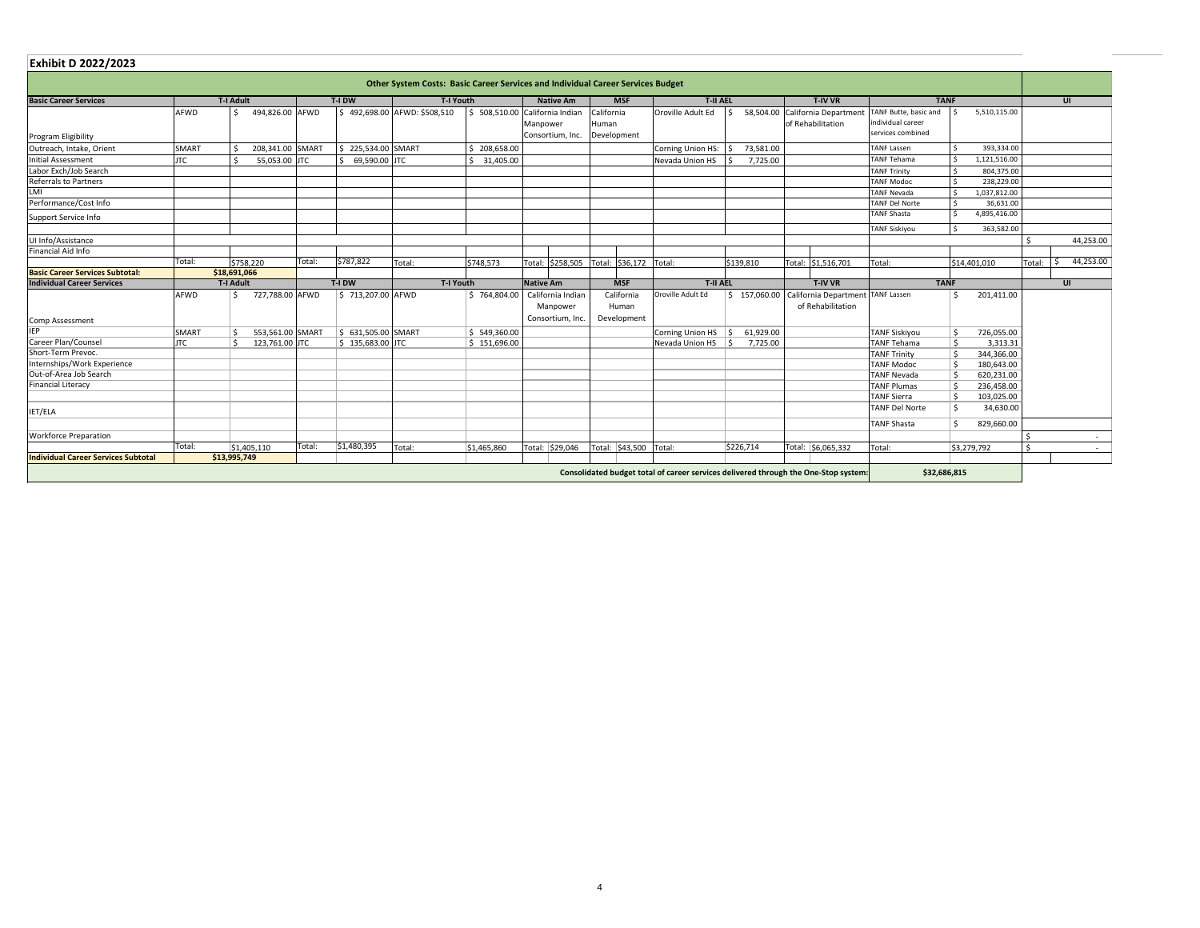| <b>Exhibit D 2022/2023</b>             |              |                  |                  |                     |                                                                                 |              |                  |                   |            |                        |                   |                 |  |                                   |                       |                       |            |            |
|----------------------------------------|--------------|------------------|------------------|---------------------|---------------------------------------------------------------------------------|--------------|------------------|-------------------|------------|------------------------|-------------------|-----------------|--|-----------------------------------|-----------------------|-----------------------|------------|------------|
|                                        |              |                  |                  |                     | Other System Costs: Basic Career Services and Individual Career Services Budget |              |                  |                   |            |                        |                   |                 |  |                                   |                       |                       |            |            |
| <b>Basic Career Services</b>           |              | <b>T-I Adult</b> |                  | T-I DW              | T-I Youth                                                                       |              |                  | <b>Native Am</b>  |            | <b>MSF</b>             | <b>T-II AEL</b>   |                 |  | <b>T-IV VR</b>                    |                       | <b>TANF</b>           |            | UI         |
|                                        | AFWD         |                  | 494,826.00 AFWD  |                     | \$492,698.00 AFWD: \$508,510                                                    | \$508,510.00 |                  | California Indian | California |                        | Oroville Adult Ed | 58,504.00       |  | California Department             | TANF Butte, basic and | 5,510,115.00          |            |            |
|                                        |              |                  |                  |                     |                                                                                 |              | Manpower         |                   | Human      |                        |                   |                 |  | of Rehabilitation                 | individual career     |                       |            |            |
| Program Eligibility                    |              |                  |                  |                     |                                                                                 |              |                  | Consortium, Inc.  |            | Development            |                   |                 |  |                                   | services combined     |                       |            |            |
| Outreach, Intake, Orient               | <b>SMART</b> | Ŝ.               | 208,341.00 SMART | \$225,534.00 SMART  |                                                                                 | \$208,658.00 |                  |                   |            |                        | Corning Union HS: | 73,581.00       |  |                                   | <b>TANF Lassen</b>    |                       | 393,334.00 |            |
| <b>Initial Assessment</b>              | <b>JTC</b>   |                  | 55,053.00 JTC    | $$69,590.00$ JTC    |                                                                                 | 31,405.00    |                  |                   |            |                        | Nevada Union HS   | 7,725.00        |  |                                   | <b>TANF Tehama</b>    | 1,121,516.00          |            |            |
| Labor Exch/Job Search                  |              |                  |                  |                     |                                                                                 |              |                  |                   |            |                        |                   |                 |  |                                   | <b>TANF Trinity</b>   |                       | 804,375.00 |            |
| <b>Referrals to Partners</b>           |              |                  |                  |                     |                                                                                 |              |                  |                   |            |                        |                   |                 |  |                                   | <b>TANF Modoc</b>     |                       | 238,229.00 |            |
| LMI                                    |              |                  |                  |                     |                                                                                 |              |                  |                   |            |                        |                   |                 |  |                                   | <b>TANF Nevada</b>    | 1,037,812.00          |            |            |
| Performance/Cost Info                  |              |                  |                  |                     |                                                                                 |              |                  |                   |            |                        |                   |                 |  |                                   | <b>TANF Del Norte</b> |                       | 36,631.00  |            |
| Support Service Info                   |              |                  |                  |                     |                                                                                 |              |                  |                   |            |                        |                   |                 |  |                                   | <b>TANF Shasta</b>    | 4,895,416.00          |            |            |
|                                        |              |                  |                  |                     |                                                                                 |              |                  |                   |            |                        |                   |                 |  |                                   | <b>TANF Siskiyou</b>  |                       | 363,582.00 |            |
| UI Info/Assistance                     |              |                  |                  |                     |                                                                                 |              |                  |                   |            |                        |                   |                 |  |                                   |                       |                       |            | 44,253.00  |
| Financial Aid Info                     |              |                  |                  |                     |                                                                                 |              |                  |                   |            |                        |                   |                 |  |                                   |                       |                       |            |            |
|                                        | Total:       | \$758,220        | Total:           | \$787,822           | Total:                                                                          | \$748,573    |                  | Total: \$258,505  | Total:     | \$36,172               | Total:            | \$139,810       |  | Total: \$1,516,701                | Total:                | \$14,401,010          | Total:     | 44,253.00  |
| <b>Basic Career Services Subtotal:</b> |              | \$18,691,066     |                  |                     |                                                                                 |              |                  |                   |            |                        |                   |                 |  |                                   |                       |                       |            |            |
| <b>Individual Career Services</b>      |              | <b>T-I Adult</b> |                  | T-I DW              | <b>T-I Youth</b>                                                                |              | <b>Native Am</b> |                   |            | <b>MSF</b>             | <b>T-II AEL</b>   |                 |  | T-IV VR                           | <b>TANF</b>           |                       |            | UI         |
|                                        | <b>AFWD</b>  |                  | 727,788.00 AFWD  | \$713,207.00 AFWD   |                                                                                 | \$764,804.00 |                  | California Indian |            | California             | Oroville Adult Ed | \$157,060.00    |  | California Department TANF Lassen |                       | 201,411.00<br>S.      |            |            |
|                                        |              |                  |                  |                     |                                                                                 |              |                  | Manpower          |            | Human                  |                   |                 |  | of Rehabilitation                 |                       |                       |            |            |
| Comp Assessment                        |              |                  |                  |                     |                                                                                 |              |                  | Consortium, Inc.  |            | Development            |                   |                 |  |                                   |                       |                       |            |            |
| IEP                                    | <b>SMART</b> |                  | 553,561.00 SMART | \$ 631,505.00 SMART |                                                                                 | \$549,360.00 |                  |                   |            |                        | Corning Union HS  | 61,929.00<br>-S |  |                                   | <b>TANF Siskiyou</b>  | Ś.<br>726,055.00      |            |            |
| Career Plan/Counsel                    | <b>JTC</b>   |                  | 123,761.00 JTC   | $$135,683.00$ JTC   |                                                                                 | \$151,696.00 |                  |                   |            |                        | Nevada Union HS   | 7,725.00        |  |                                   | <b>TANF Tehama</b>    |                       | 3,313.31   |            |
| Short-Term Prevoc.                     |              |                  |                  |                     |                                                                                 |              |                  |                   |            |                        |                   |                 |  |                                   | <b>TANF Trinity</b>   | $\zeta$<br>344,366.00 |            |            |
| Internships/Work Experience            |              |                  |                  |                     |                                                                                 |              |                  |                   |            |                        |                   |                 |  |                                   | <b>TANF Modoc</b>     | 180,643.00            |            |            |
| Out-of-Area Job Search                 |              |                  |                  |                     |                                                                                 |              |                  |                   |            |                        |                   |                 |  |                                   | <b>TANF Nevada</b>    | 620,231.00            |            |            |
| <b>Financial Literacy</b>              |              |                  |                  |                     |                                                                                 |              |                  |                   |            |                        |                   |                 |  |                                   | <b>TANF Plumas</b>    | 236,458.00            |            |            |
|                                        |              |                  |                  |                     |                                                                                 |              |                  |                   |            |                        |                   |                 |  |                                   | <b>TANF Sierra</b>    | 103,025.00            |            |            |
|                                        |              |                  |                  |                     |                                                                                 |              |                  |                   |            |                        |                   |                 |  |                                   | <b>TANF Del Norte</b> | $\epsilon$            | 34,630.00  |            |
| IET/ELA                                |              |                  |                  |                     |                                                                                 |              |                  |                   |            |                        |                   |                 |  |                                   | <b>TANF Shasta</b>    | Ś.<br>829,660.00      |            |            |
| <b>Workforce Preparation</b>           |              |                  |                  |                     |                                                                                 |              |                  |                   |            |                        |                   |                 |  |                                   |                       |                       |            |            |
|                                        | Total:       |                  | Total:           | \$1,480,395         |                                                                                 |              |                  |                   |            |                        |                   |                 |  |                                   |                       |                       |            | $\sim$     |
| Individual Career Services Subtotal    |              | \$1,405,110      |                  |                     | Total:                                                                          | \$1,465,860  |                  | Total: \$29,046   |            | Total: \$43,500 Total: |                   | \$226,714       |  | Total: \$6,065,332                | Total:                | \$3,279,792           |            | $\sim$ $-$ |
|                                        |              | \$13,995,749     |                  |                     |                                                                                 |              |                  |                   |            |                        |                   |                 |  |                                   |                       |                       |            |            |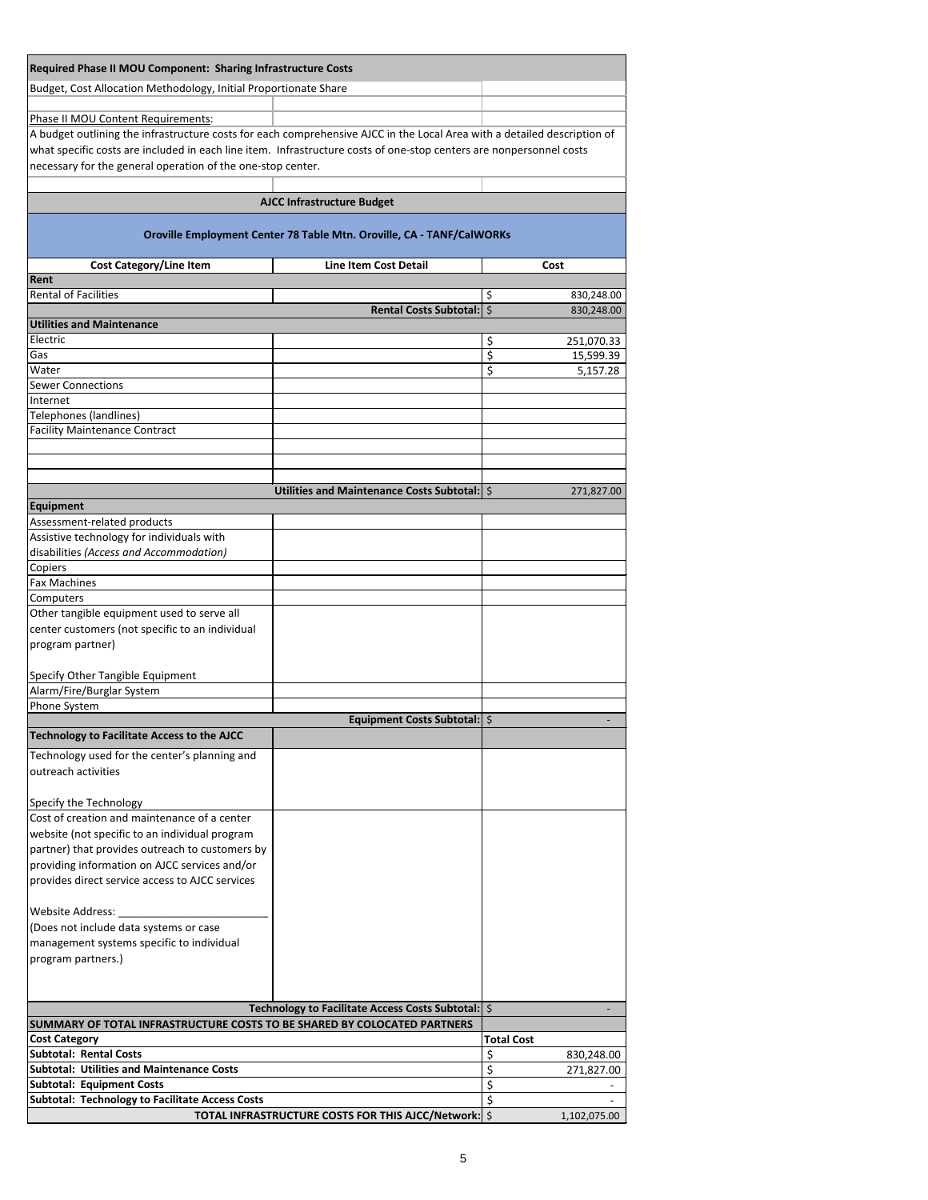| Required Phase II MOU Component: Sharing Infrastructure Costs                                                                                                                      |                                                                       |                                       |
|------------------------------------------------------------------------------------------------------------------------------------------------------------------------------------|-----------------------------------------------------------------------|---------------------------------------|
| Budget, Cost Allocation Methodology, Initial Proportionate Share                                                                                                                   |                                                                       |                                       |
|                                                                                                                                                                                    |                                                                       |                                       |
| Phase II MOU Content Requirements:                                                                                                                                                 |                                                                       |                                       |
| A budget outlining the infrastructure costs for each comprehensive AJCC in the Local Area with a detailed description of                                                           |                                                                       |                                       |
| what specific costs are included in each line item. Infrastructure costs of one-stop centers are nonpersonnel costs<br>necessary for the general operation of the one-stop center. |                                                                       |                                       |
|                                                                                                                                                                                    |                                                                       |                                       |
|                                                                                                                                                                                    | <b>AJCC Infrastructure Budget</b>                                     |                                       |
|                                                                                                                                                                                    |                                                                       |                                       |
|                                                                                                                                                                                    | Oroville Employment Center 78 Table Mtn. Oroville, CA - TANF/CalWORKs |                                       |
| <b>Cost Category/Line Item</b>                                                                                                                                                     | <b>Line Item Cost Detail</b>                                          | Cost                                  |
| Rent                                                                                                                                                                               |                                                                       |                                       |
| <b>Rental of Facilities</b>                                                                                                                                                        |                                                                       | \$<br>830,248.00                      |
| <b>Utilities and Maintenance</b>                                                                                                                                                   | Rental Costs Subtotal:   \$                                           | 830,248.00                            |
| Electric                                                                                                                                                                           |                                                                       | \$<br>251,070.33                      |
| Gas                                                                                                                                                                                |                                                                       | \$<br>15,599.39                       |
| Water<br><b>Sewer Connections</b>                                                                                                                                                  |                                                                       | \$<br>5,157.28                        |
| Internet                                                                                                                                                                           |                                                                       |                                       |
| Telephones (landlines)                                                                                                                                                             |                                                                       |                                       |
| <b>Facility Maintenance Contract</b>                                                                                                                                               |                                                                       |                                       |
|                                                                                                                                                                                    |                                                                       |                                       |
|                                                                                                                                                                                    |                                                                       |                                       |
|                                                                                                                                                                                    | Utilities and Maintenance Costs Subtotal:   \$                        | 271,827.00                            |
| <b>Equipment</b>                                                                                                                                                                   |                                                                       |                                       |
| Assessment-related products<br>Assistive technology for individuals with                                                                                                           |                                                                       |                                       |
| disabilities (Access and Accommodation)                                                                                                                                            |                                                                       |                                       |
| Copiers                                                                                                                                                                            |                                                                       |                                       |
| <b>Fax Machines</b>                                                                                                                                                                |                                                                       |                                       |
| Computers<br>Other tangible equipment used to serve all                                                                                                                            |                                                                       |                                       |
| center customers (not specific to an individual                                                                                                                                    |                                                                       |                                       |
| program partner)                                                                                                                                                                   |                                                                       |                                       |
|                                                                                                                                                                                    |                                                                       |                                       |
| Specify Other Tangible Equipment<br>Alarm/Fire/Burglar System                                                                                                                      |                                                                       |                                       |
| Phone System                                                                                                                                                                       |                                                                       |                                       |
|                                                                                                                                                                                    | Equipment Costs Subtotal:   \$                                        |                                       |
| <b>Technology to Facilitate Access to the AJCC</b>                                                                                                                                 |                                                                       |                                       |
| Technology used for the center's planning and                                                                                                                                      |                                                                       |                                       |
| outreach activities                                                                                                                                                                |                                                                       |                                       |
| Specify the Technology                                                                                                                                                             |                                                                       |                                       |
| Cost of creation and maintenance of a center                                                                                                                                       |                                                                       |                                       |
| website (not specific to an individual program                                                                                                                                     |                                                                       |                                       |
| partner) that provides outreach to customers by<br>providing information on AJCC services and/or                                                                                   |                                                                       |                                       |
| provides direct service access to AJCC services                                                                                                                                    |                                                                       |                                       |
|                                                                                                                                                                                    |                                                                       |                                       |
| <b>Website Address:</b>                                                                                                                                                            |                                                                       |                                       |
| (Does not include data systems or case                                                                                                                                             |                                                                       |                                       |
| management systems specific to individual<br>program partners.)                                                                                                                    |                                                                       |                                       |
|                                                                                                                                                                                    |                                                                       |                                       |
|                                                                                                                                                                                    |                                                                       |                                       |
|                                                                                                                                                                                    | Technology to Facilitate Access Costs Subtotal:   \$                  |                                       |
| SUMMARY OF TOTAL INFRASTRUCTURE COSTS TO BE SHARED BY COLOCATED PARTNERS                                                                                                           |                                                                       |                                       |
| <b>Cost Category</b><br><b>Subtotal: Rental Costs</b>                                                                                                                              |                                                                       | <b>Total Cost</b><br>\$<br>830,248.00 |
| <b>Subtotal: Utilities and Maintenance Costs</b>                                                                                                                                   |                                                                       | \$<br>271,827.00                      |
| <b>Subtotal: Equipment Costs</b>                                                                                                                                                   |                                                                       | \$                                    |
| <b>Subtotal: Technology to Facilitate Access Costs</b>                                                                                                                             | TOTAL INFRASTRUCTURE COSTS FOR THIS AJCC/Network: \$                  | \$<br>1,102,075.00                    |
|                                                                                                                                                                                    |                                                                       |                                       |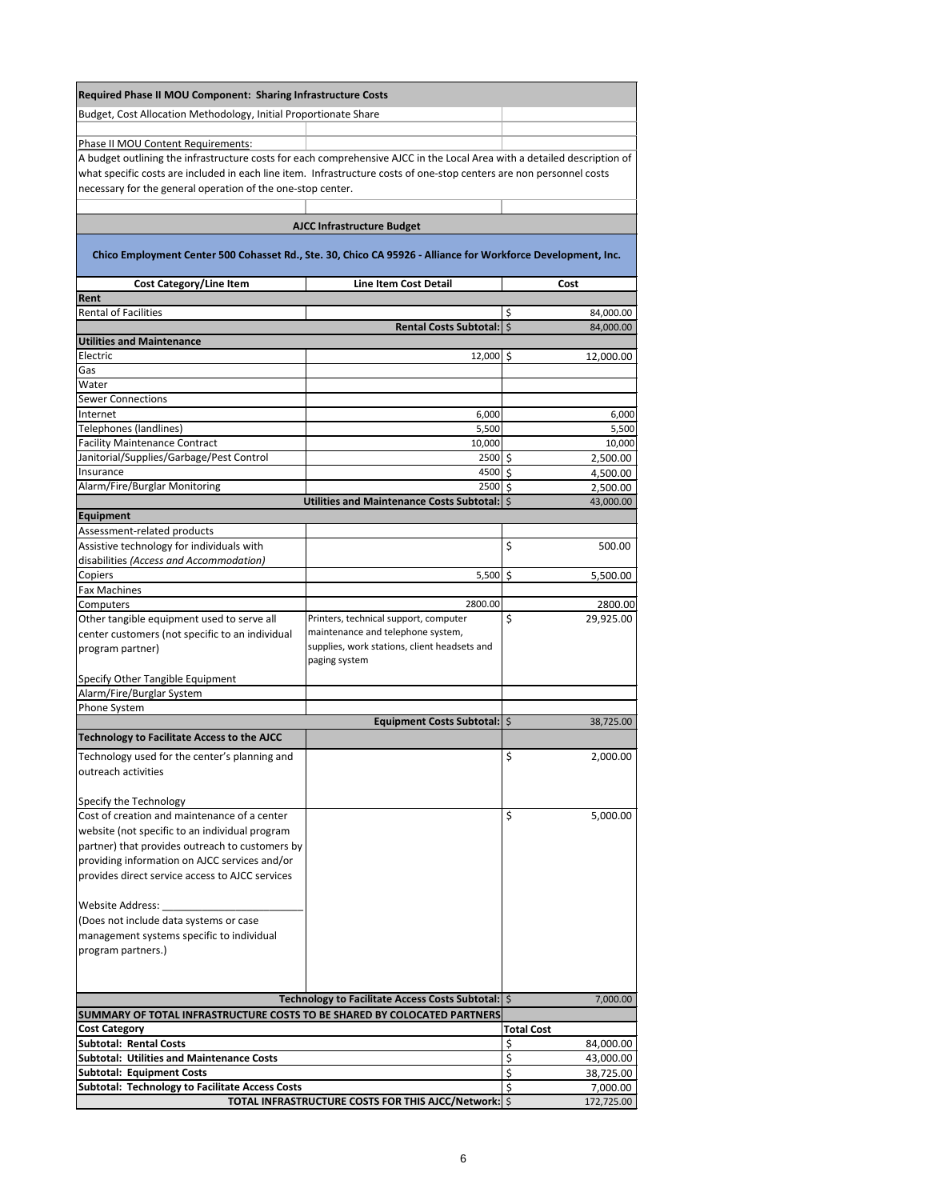| Required Phase II MOU Component: Sharing Infrastructure Costs                                                            |                                                                                   |                   |
|--------------------------------------------------------------------------------------------------------------------------|-----------------------------------------------------------------------------------|-------------------|
| Budget, Cost Allocation Methodology, Initial Proportionate Share                                                         |                                                                                   |                   |
|                                                                                                                          |                                                                                   |                   |
| Phase II MOU Content Requirements:                                                                                       |                                                                                   |                   |
| A budget outlining the infrastructure costs for each comprehensive AJCC in the Local Area with a detailed description of |                                                                                   |                   |
| what specific costs are included in each line item. Infrastructure costs of one-stop centers are non personnel costs     |                                                                                   |                   |
| necessary for the general operation of the one-stop center.                                                              |                                                                                   |                   |
|                                                                                                                          |                                                                                   |                   |
|                                                                                                                          |                                                                                   |                   |
|                                                                                                                          | <b>AJCC Infrastructure Budget</b>                                                 |                   |
| Chico Employment Center 500 Cohasset Rd., Ste. 30, Chico CA 95926 - Alliance for Workforce Development, Inc.             |                                                                                   |                   |
| <b>Cost Category/Line Item</b>                                                                                           | <b>Line Item Cost Detail</b>                                                      | Cost              |
| Rent                                                                                                                     |                                                                                   |                   |
| <b>Rental of Facilities</b>                                                                                              |                                                                                   | \$<br>84,000.00   |
|                                                                                                                          | Rental Costs Subtotal:   \$                                                       | 84,000.00         |
| <b>Utilities and Maintenance</b>                                                                                         |                                                                                   |                   |
| Electric                                                                                                                 | 12,000 \$                                                                         | 12,000.00         |
| Gas                                                                                                                      |                                                                                   |                   |
| Water<br><b>Sewer Connections</b>                                                                                        |                                                                                   |                   |
| Internet                                                                                                                 | 6,000                                                                             | 6,000             |
| Telephones (landlines)                                                                                                   | 5,500                                                                             | 5,500             |
| <b>Facility Maintenance Contract</b>                                                                                     | 10,000                                                                            | 10,000            |
| Janitorial/Supplies/Garbage/Pest Control                                                                                 | 2500 \$                                                                           | 2,500.00          |
| Insurance                                                                                                                | 4500 \$                                                                           | 4,500.00          |
| Alarm/Fire/Burglar Monitoring                                                                                            | 2500 \$                                                                           | 2,500.00          |
|                                                                                                                          | Utilities and Maintenance Costs Subtotal: S                                       | 43,000.00         |
| Equipment                                                                                                                |                                                                                   |                   |
| Assessment-related products                                                                                              |                                                                                   |                   |
| Assistive technology for individuals with                                                                                |                                                                                   | \$<br>500.00      |
| disabilities (Access and Accommodation)                                                                                  |                                                                                   |                   |
| Copiers                                                                                                                  | $5,500$ \$                                                                        | 5,500.00          |
| <b>Fax Machines</b>                                                                                                      |                                                                                   |                   |
| Computers                                                                                                                | 2800.00                                                                           | 2800.00           |
| Other tangible equipment used to serve all                                                                               | Printers, technical support, computer                                             | \$<br>29,925.00   |
| center customers (not specific to an individual                                                                          | maintenance and telephone system,<br>supplies, work stations, client headsets and |                   |
| program partner)                                                                                                         | paging system                                                                     |                   |
| Specify Other Tangible Equipment                                                                                         |                                                                                   |                   |
| Alarm/Fire/Burglar System                                                                                                |                                                                                   |                   |
| Phone System                                                                                                             |                                                                                   |                   |
|                                                                                                                          | Equipment Costs Subtotal:   \$                                                    | 38,725.00         |
| <b>Technology to Facilitate Access to the AJCC</b>                                                                       |                                                                                   |                   |
| Technology used for the center's planning and                                                                            |                                                                                   | \$<br>2,000.00    |
| outreach activities                                                                                                      |                                                                                   |                   |
|                                                                                                                          |                                                                                   |                   |
| Specify the Technology                                                                                                   |                                                                                   |                   |
| Cost of creation and maintenance of a center                                                                             |                                                                                   | \$<br>5,000.00    |
| website (not specific to an individual program                                                                           |                                                                                   |                   |
| partner) that provides outreach to customers by                                                                          |                                                                                   |                   |
| providing information on AJCC services and/or                                                                            |                                                                                   |                   |
| provides direct service access to AJCC services                                                                          |                                                                                   |                   |
|                                                                                                                          |                                                                                   |                   |
| Website Address:                                                                                                         |                                                                                   |                   |
| (Does not include data systems or case                                                                                   |                                                                                   |                   |
| management systems specific to individual                                                                                |                                                                                   |                   |
| program partners.)                                                                                                       |                                                                                   |                   |
|                                                                                                                          |                                                                                   |                   |
|                                                                                                                          |                                                                                   |                   |
|                                                                                                                          | Technology to Facilitate Access Costs Subtotal:   \$                              | 7,000.00          |
| SUMMARY OF TOTAL INFRASTRUCTURE COSTS TO BE SHARED BY COLOCATED PARTNERS                                                 |                                                                                   |                   |
| <b>Cost Category</b>                                                                                                     |                                                                                   | <b>Total Cost</b> |
| <b>Subtotal: Rental Costs</b>                                                                                            |                                                                                   | \$<br>84,000.00   |
| <b>Subtotal: Utilities and Maintenance Costs</b>                                                                         |                                                                                   | \$<br>43,000.00   |
| <b>Subtotal: Equipment Costs</b>                                                                                         |                                                                                   | \$<br>38,725.00   |
| <b>Subtotal: Technology to Facilitate Access Costs</b>                                                                   |                                                                                   | \$<br>7,000.00    |
|                                                                                                                          | TOTAL INFRASTRUCTURE COSTS FOR THIS AJCC/Network: \$                              | 172,725.00        |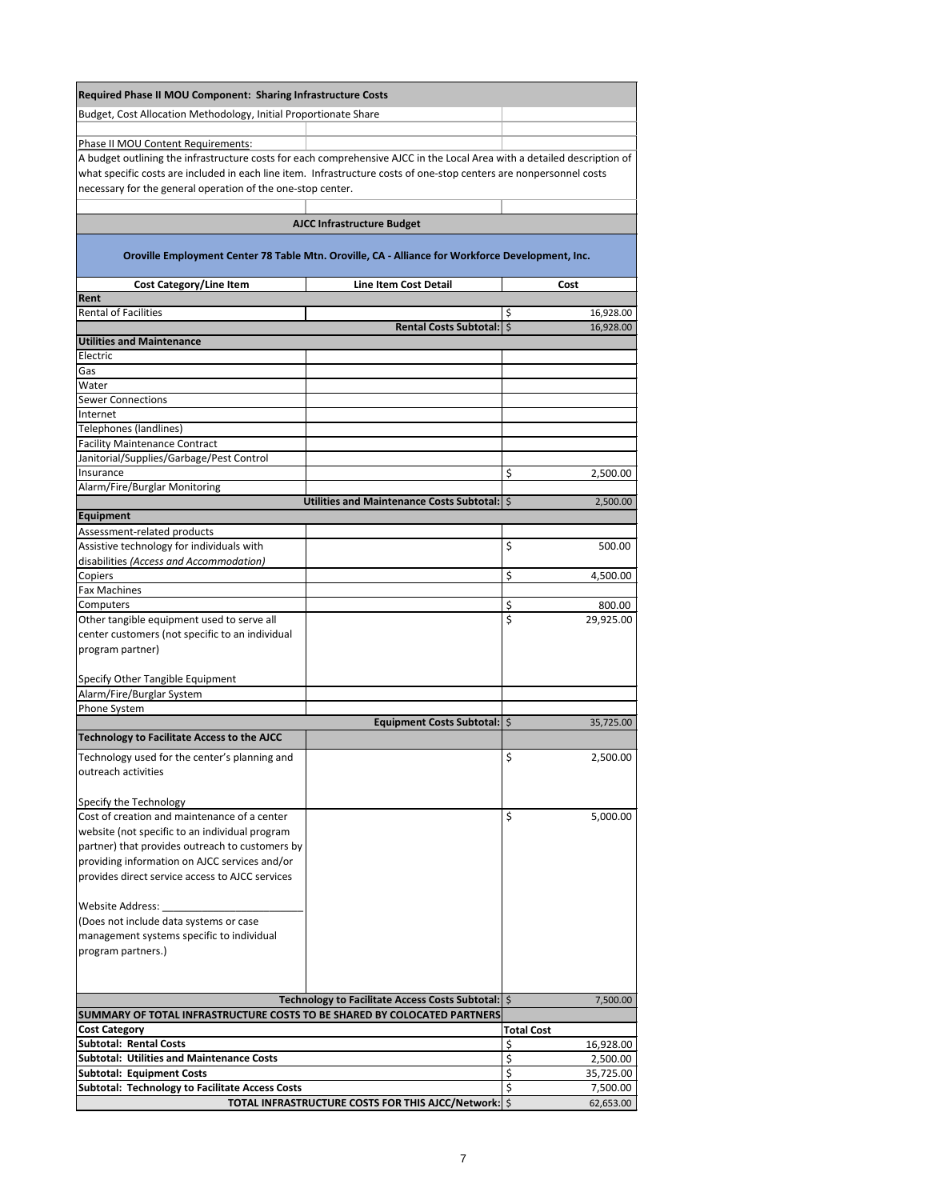| <b>Required Phase II MOU Component: Sharing Infrastructure Costs</b>                                                                                                               |                                                                                                  |                                   |
|------------------------------------------------------------------------------------------------------------------------------------------------------------------------------------|--------------------------------------------------------------------------------------------------|-----------------------------------|
| Budget, Cost Allocation Methodology, Initial Proportionate Share                                                                                                                   |                                                                                                  |                                   |
|                                                                                                                                                                                    |                                                                                                  |                                   |
| Phase II MOU Content Requirements:                                                                                                                                                 |                                                                                                  |                                   |
| A budget outlining the infrastructure costs for each comprehensive AJCC in the Local Area with a detailed description of                                                           |                                                                                                  |                                   |
| what specific costs are included in each line item. Infrastructure costs of one-stop centers are nonpersonnel costs<br>necessary for the general operation of the one-stop center. |                                                                                                  |                                   |
|                                                                                                                                                                                    |                                                                                                  |                                   |
|                                                                                                                                                                                    | <b>AJCC Infrastructure Budget</b>                                                                |                                   |
|                                                                                                                                                                                    | Oroville Employment Center 78 Table Mtn. Oroville, CA - Alliance for Workforce Development, Inc. |                                   |
| <b>Cost Category/Line Item</b>                                                                                                                                                     | <b>Line Item Cost Detail</b>                                                                     | Cost                              |
| Rent                                                                                                                                                                               |                                                                                                  |                                   |
| <b>Rental of Facilities</b>                                                                                                                                                        | Rental Costs Subtotal:   \$                                                                      | \$<br>16,928.00<br>16,928.00      |
| <b>Utilities and Maintenance</b>                                                                                                                                                   |                                                                                                  |                                   |
| Electric                                                                                                                                                                           |                                                                                                  |                                   |
| Gas                                                                                                                                                                                |                                                                                                  |                                   |
| Water<br><b>Sewer Connections</b>                                                                                                                                                  |                                                                                                  |                                   |
| Internet                                                                                                                                                                           |                                                                                                  |                                   |
| Telephones (landlines)                                                                                                                                                             |                                                                                                  |                                   |
| <b>Facility Maintenance Contract</b>                                                                                                                                               |                                                                                                  |                                   |
| Janitorial/Supplies/Garbage/Pest Control                                                                                                                                           |                                                                                                  |                                   |
| Insurance<br>Alarm/Fire/Burglar Monitoring                                                                                                                                         |                                                                                                  | \$<br>2,500.00                    |
|                                                                                                                                                                                    | Utilities and Maintenance Costs Subtotal:   \$                                                   | 2,500.00                          |
| Equipment                                                                                                                                                                          |                                                                                                  |                                   |
| Assessment-related products                                                                                                                                                        |                                                                                                  |                                   |
| Assistive technology for individuals with                                                                                                                                          |                                                                                                  | \$<br>500.00                      |
| disabilities (Access and Accommodation)<br>Copiers                                                                                                                                 |                                                                                                  | \$<br>4,500.00                    |
| <b>Fax Machines</b>                                                                                                                                                                |                                                                                                  |                                   |
| Computers                                                                                                                                                                          |                                                                                                  | \$<br>800.00                      |
| Other tangible equipment used to serve all                                                                                                                                         |                                                                                                  | \$<br>29,925.00                   |
| center customers (not specific to an individual<br>program partner)                                                                                                                |                                                                                                  |                                   |
|                                                                                                                                                                                    |                                                                                                  |                                   |
| Specify Other Tangible Equipment                                                                                                                                                   |                                                                                                  |                                   |
| Alarm/Fire/Burglar System                                                                                                                                                          |                                                                                                  |                                   |
| Phone System                                                                                                                                                                       | Equipment Costs Subtotal:   \$                                                                   | 35,725.00                         |
| <b>Technology to Facilitate Access to the AJCC</b>                                                                                                                                 |                                                                                                  |                                   |
| Technology used for the center's planning and                                                                                                                                      |                                                                                                  | \$<br>2,500.00                    |
| outreach activities                                                                                                                                                                |                                                                                                  |                                   |
|                                                                                                                                                                                    |                                                                                                  |                                   |
| Specify the Technology<br>Cost of creation and maintenance of a center                                                                                                             |                                                                                                  | \$                                |
| website (not specific to an individual program                                                                                                                                     |                                                                                                  | 5,000.00                          |
| partner) that provides outreach to customers by                                                                                                                                    |                                                                                                  |                                   |
| providing information on AJCC services and/or                                                                                                                                      |                                                                                                  |                                   |
| provides direct service access to AJCC services                                                                                                                                    |                                                                                                  |                                   |
| <b>Website Address:</b>                                                                                                                                                            |                                                                                                  |                                   |
| (Does not include data systems or case                                                                                                                                             |                                                                                                  |                                   |
| management systems specific to individual                                                                                                                                          |                                                                                                  |                                   |
| program partners.)                                                                                                                                                                 |                                                                                                  |                                   |
|                                                                                                                                                                                    |                                                                                                  |                                   |
|                                                                                                                                                                                    |                                                                                                  |                                   |
| SUMMARY OF TOTAL INFRASTRUCTURE COSTS TO BE SHARED BY COLOCATED PARTNERS                                                                                                           | Technology to Facilitate Access Costs Subtotal:   \$                                             | 7,500.00                          |
| <b>Cost Category</b>                                                                                                                                                               |                                                                                                  | <b>Total Cost</b>                 |
| <b>Subtotal: Rental Costs</b>                                                                                                                                                      |                                                                                                  | \$<br>16,928.00                   |
| <b>Subtotal: Utilities and Maintenance Costs</b>                                                                                                                                   |                                                                                                  | \$<br>2,500.00                    |
| <b>Subtotal: Equipment Costs</b><br><b>Subtotal: Technology to Facilitate Access Costs</b>                                                                                         |                                                                                                  | \$<br>35,725.00<br>\$<br>7,500.00 |
|                                                                                                                                                                                    | TOTAL INFRASTRUCTURE COSTS FOR THIS AJCC/Network: \$                                             | 62,653.00                         |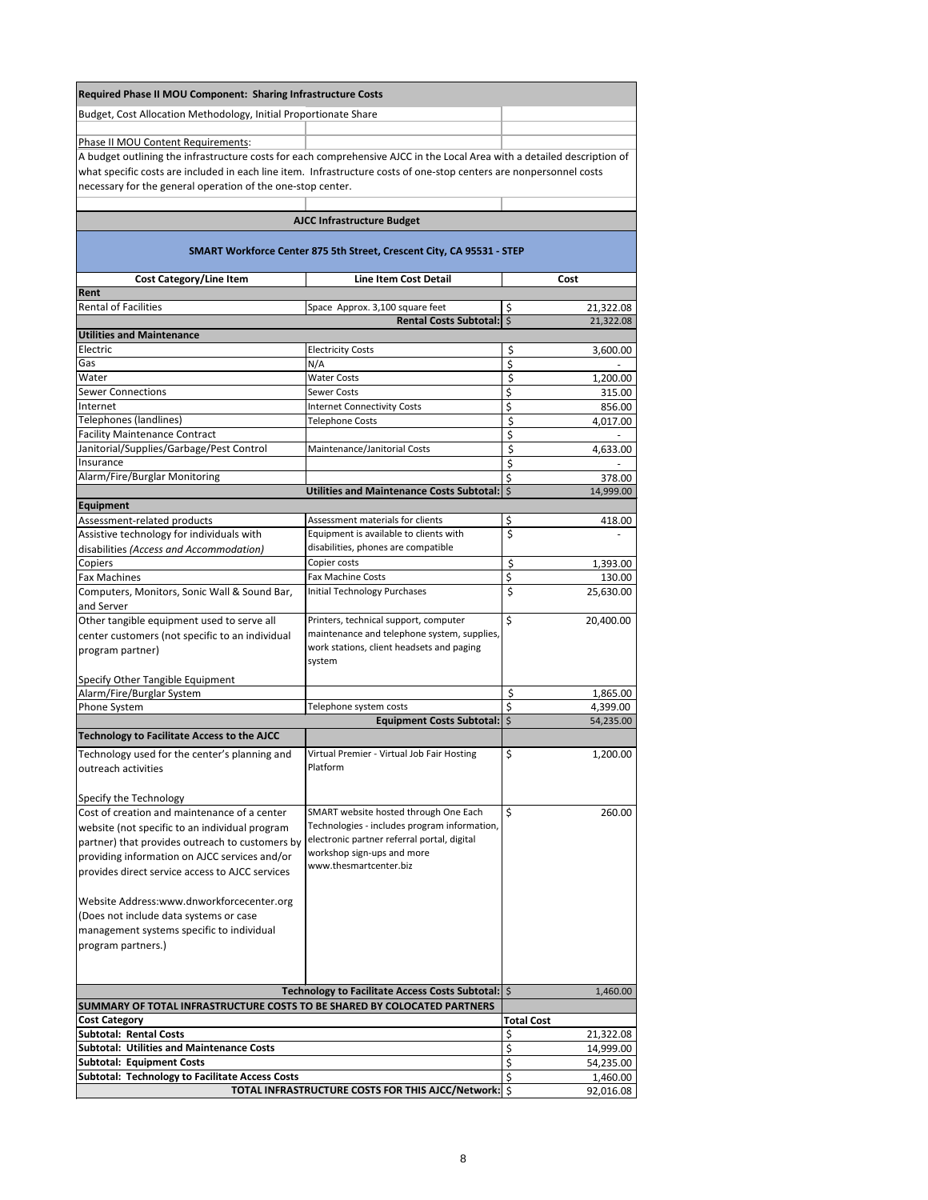| <b>Required Phase II MOU Component: Sharing Infrastructure Costs</b>                                                                                                                                                                            |                                                                                             |                                  |
|-------------------------------------------------------------------------------------------------------------------------------------------------------------------------------------------------------------------------------------------------|---------------------------------------------------------------------------------------------|----------------------------------|
| Budget, Cost Allocation Methodology, Initial Proportionate Share                                                                                                                                                                                |                                                                                             |                                  |
|                                                                                                                                                                                                                                                 |                                                                                             |                                  |
| <b>Phase II MOU Content Requirements:</b>                                                                                                                                                                                                       |                                                                                             |                                  |
| A budget outlining the infrastructure costs for each comprehensive AJCC in the Local Area with a detailed description of<br>what specific costs are included in each line item. Infrastructure costs of one-stop centers are nonpersonnel costs |                                                                                             |                                  |
| necessary for the general operation of the one-stop center.                                                                                                                                                                                     |                                                                                             |                                  |
|                                                                                                                                                                                                                                                 |                                                                                             |                                  |
|                                                                                                                                                                                                                                                 | <b>AJCC Infrastructure Budget</b>                                                           |                                  |
|                                                                                                                                                                                                                                                 |                                                                                             |                                  |
|                                                                                                                                                                                                                                                 | SMART Workforce Center 875 5th Street, Crescent City, CA 95531 - STEP                       |                                  |
| <b>Cost Category/Line Item</b>                                                                                                                                                                                                                  | <b>Line Item Cost Detail</b>                                                                | Cost                             |
| Rent                                                                                                                                                                                                                                            |                                                                                             |                                  |
| <b>Rental of Facilities</b>                                                                                                                                                                                                                     | Space Approx. 3,100 square feet                                                             | \$<br>21,322.08                  |
| <b>Utilities and Maintenance</b>                                                                                                                                                                                                                | <b>Rental Costs Subtotal:</b>                                                               | $\mathsf{\dot{S}}$<br>21,322.08  |
| Electric                                                                                                                                                                                                                                        | <b>Electricity Costs</b>                                                                    | \$<br>3,600.00                   |
| Gas                                                                                                                                                                                                                                             | N/A                                                                                         | \$                               |
| Water                                                                                                                                                                                                                                           | <b>Water Costs</b>                                                                          | \$<br>1,200.00                   |
| <b>Sewer Connections</b>                                                                                                                                                                                                                        | <b>Sewer Costs</b>                                                                          | \$<br>315.00                     |
| Internet                                                                                                                                                                                                                                        | <b>Internet Connectivity Costs</b>                                                          | \$<br>856.00                     |
| Telephones (landlines)                                                                                                                                                                                                                          | <b>Telephone Costs</b>                                                                      | \$<br>4,017.00                   |
| <b>Facility Maintenance Contract</b>                                                                                                                                                                                                            |                                                                                             | \$                               |
| Janitorial/Supplies/Garbage/Pest Control<br>Insurance                                                                                                                                                                                           | Maintenance/Janitorial Costs                                                                | \$<br>4,633.00<br>\$             |
| Alarm/Fire/Burglar Monitoring                                                                                                                                                                                                                   |                                                                                             | \$<br>378.00                     |
|                                                                                                                                                                                                                                                 | Utilities and Maintenance Costs Subtotal:   \$                                              | 14,999.00                        |
| <b>Equipment</b>                                                                                                                                                                                                                                |                                                                                             |                                  |
| Assessment-related products                                                                                                                                                                                                                     | Assessment materials for clients                                                            | \$<br>418.00                     |
| Assistive technology for individuals with                                                                                                                                                                                                       | Equipment is available to clients with                                                      | \$                               |
| disabilities (Access and Accommodation)                                                                                                                                                                                                         | disabilities, phones are compatible                                                         |                                  |
| Copiers<br><b>Fax Machines</b>                                                                                                                                                                                                                  | Copier costs<br><b>Fax Machine Costs</b>                                                    | \$<br>1,393.00<br>\$<br>130.00   |
| Computers, Monitors, Sonic Wall & Sound Bar,                                                                                                                                                                                                    | <b>Initial Technology Purchases</b>                                                         | \$<br>25,630.00                  |
| and Server                                                                                                                                                                                                                                      |                                                                                             |                                  |
| Other tangible equipment used to serve all                                                                                                                                                                                                      | Printers, technical support, computer                                                       | $\zeta$<br>20,400.00             |
| center customers (not specific to an individual                                                                                                                                                                                                 | maintenance and telephone system, supplies,                                                 |                                  |
| program partner)                                                                                                                                                                                                                                | work stations, client headsets and paging                                                   |                                  |
|                                                                                                                                                                                                                                                 | system                                                                                      |                                  |
| Specify Other Tangible Equipment                                                                                                                                                                                                                |                                                                                             |                                  |
| Alarm/Fire/Burglar System<br>Phone System                                                                                                                                                                                                       | Telephone system costs                                                                      | \$<br>1,865.00<br>\$<br>4,399.00 |
|                                                                                                                                                                                                                                                 | <b>Equipment Costs Subtotal:</b>                                                            | $\zeta$<br>54,235.00             |
| <b>Technology to Facilitate Access to the AJCC</b>                                                                                                                                                                                              |                                                                                             |                                  |
| Technology used for the center's planning and                                                                                                                                                                                                   | Virtual Premier - Virtual Job Fair Hosting                                                  | \$<br>1,200.00                   |
| outreach activities                                                                                                                                                                                                                             | Platform                                                                                    |                                  |
|                                                                                                                                                                                                                                                 |                                                                                             |                                  |
| Specify the Technology                                                                                                                                                                                                                          |                                                                                             |                                  |
| Cost of creation and maintenance of a center                                                                                                                                                                                                    | SMART website hosted through One Each                                                       | \$<br>260.00                     |
| website (not specific to an individual program                                                                                                                                                                                                  | Technologies - includes program information,<br>electronic partner referral portal, digital |                                  |
| partner) that provides outreach to customers by                                                                                                                                                                                                 | workshop sign-ups and more                                                                  |                                  |
| providing information on AJCC services and/or<br>provides direct service access to AJCC services                                                                                                                                                | www.thesmartcenter.biz                                                                      |                                  |
|                                                                                                                                                                                                                                                 |                                                                                             |                                  |
| Website Address:www.dnworkforcecenter.org                                                                                                                                                                                                       |                                                                                             |                                  |
| (Does not include data systems or case                                                                                                                                                                                                          |                                                                                             |                                  |
| management systems specific to individual                                                                                                                                                                                                       |                                                                                             |                                  |
| program partners.)                                                                                                                                                                                                                              |                                                                                             |                                  |
|                                                                                                                                                                                                                                                 |                                                                                             |                                  |
|                                                                                                                                                                                                                                                 |                                                                                             |                                  |
|                                                                                                                                                                                                                                                 | Technology to Facilitate Access Costs Subtotal:   \$                                        | 1,460.00                         |
| SUMMARY OF TOTAL INFRASTRUCTURE COSTS TO BE SHARED BY COLOCATED PARTNERS                                                                                                                                                                        |                                                                                             | <b>Total Cost</b>                |
| <b>Cost Category</b><br><b>Subtotal: Rental Costs</b>                                                                                                                                                                                           |                                                                                             | \$<br>21,322.08                  |
| <b>Subtotal: Utilities and Maintenance Costs</b>                                                                                                                                                                                                |                                                                                             | \$<br>14,999.00                  |
| <b>Subtotal: Equipment Costs</b>                                                                                                                                                                                                                |                                                                                             | 54,235.00                        |
| <b>Subtotal: Technology to Facilitate Access Costs</b>                                                                                                                                                                                          |                                                                                             | \$<br>1,460.00                   |
|                                                                                                                                                                                                                                                 | TOTAL INFRASTRUCTURE COSTS FOR THIS AJCC/Network:   \$                                      | 92,016.08                        |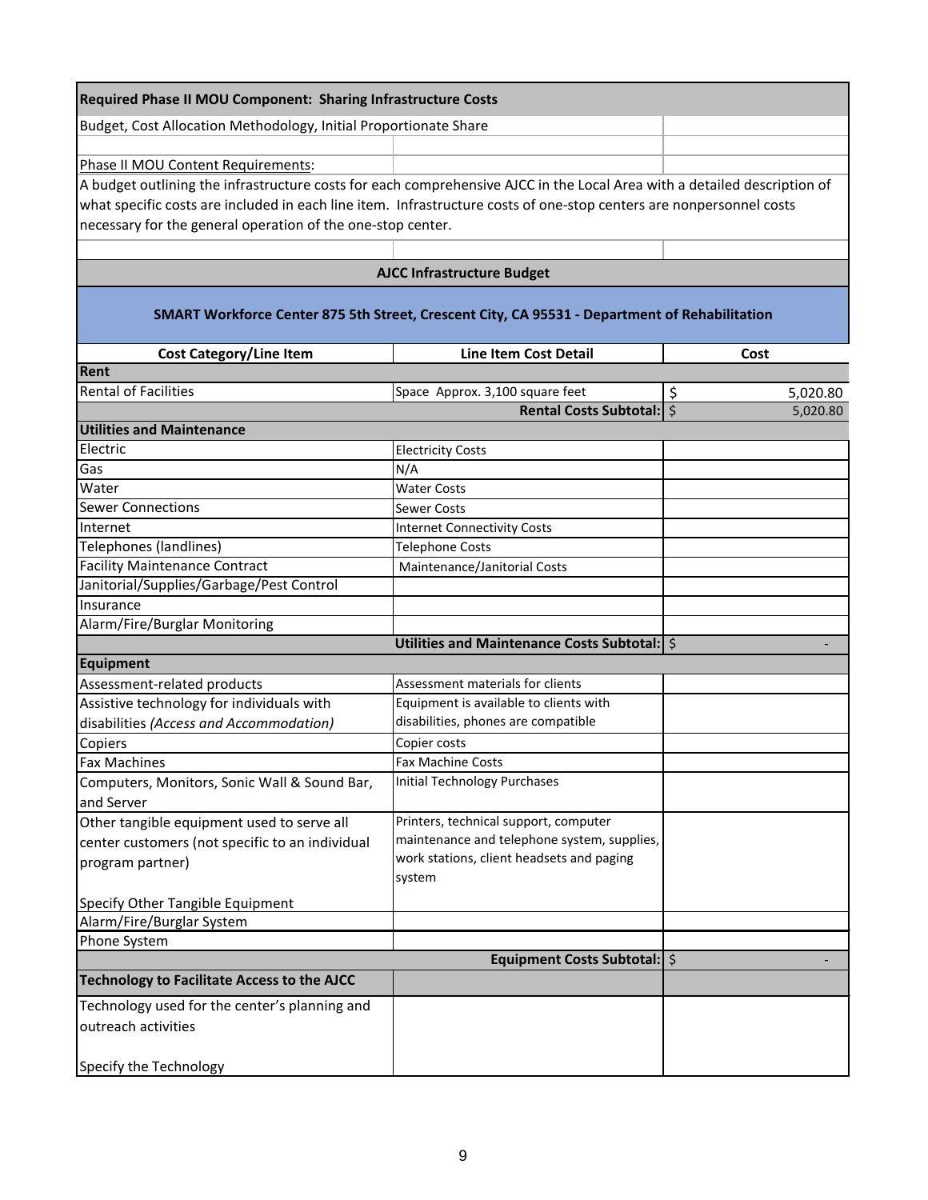| <b>Required Phase II MOU Component: Sharing Infrastructure Costs</b>                                                     |                                                                                               |                |
|--------------------------------------------------------------------------------------------------------------------------|-----------------------------------------------------------------------------------------------|----------------|
| Budget, Cost Allocation Methodology, Initial Proportionate Share                                                         |                                                                                               |                |
|                                                                                                                          |                                                                                               |                |
| Phase II MOU Content Requirements:                                                                                       |                                                                                               |                |
| A budget outlining the infrastructure costs for each comprehensive AJCC in the Local Area with a detailed description of |                                                                                               |                |
| what specific costs are included in each line item. Infrastructure costs of one-stop centers are nonpersonnel costs      |                                                                                               |                |
| necessary for the general operation of the one-stop center.                                                              |                                                                                               |                |
|                                                                                                                          |                                                                                               |                |
|                                                                                                                          | <b>AJCC Infrastructure Budget</b>                                                             |                |
|                                                                                                                          | SMART Workforce Center 875 5th Street, Crescent City, CA 95531 - Department of Rehabilitation |                |
| <b>Cost Category/Line Item</b>                                                                                           | <b>Line Item Cost Detail</b>                                                                  | Cost           |
| Rent                                                                                                                     |                                                                                               |                |
| <b>Rental of Facilities</b>                                                                                              | Space Approx. 3,100 square feet                                                               | \$<br>5,020.80 |
|                                                                                                                          | Rental Costs Subtotal:   \$                                                                   | 5,020.80       |
| <b>Utilities and Maintenance</b>                                                                                         |                                                                                               |                |
| Electric                                                                                                                 | <b>Electricity Costs</b>                                                                      |                |
| Gas                                                                                                                      | N/A                                                                                           |                |
| Water                                                                                                                    | <b>Water Costs</b>                                                                            |                |
| <b>Sewer Connections</b>                                                                                                 | <b>Sewer Costs</b>                                                                            |                |
| Internet                                                                                                                 | <b>Internet Connectivity Costs</b>                                                            |                |
| <b>Telephones (landlines)</b>                                                                                            | Telephone Costs                                                                               |                |
| <b>Facility Maintenance Contract</b>                                                                                     | Maintenance/Janitorial Costs                                                                  |                |
| Janitorial/Supplies/Garbage/Pest Control                                                                                 |                                                                                               |                |
| Insurance                                                                                                                |                                                                                               |                |
| Alarm/Fire/Burglar Monitoring                                                                                            |                                                                                               |                |
|                                                                                                                          | Utilities and Maintenance Costs Subtotal:   \$                                                |                |
| <b>Equipment</b>                                                                                                         |                                                                                               |                |
| Assessment-related products                                                                                              | Assessment materials for clients                                                              |                |
| Assistive technology for individuals with                                                                                | Equipment is available to clients with                                                        |                |
| disabilities (Access and Accommodation)                                                                                  | disabilities, phones are compatible                                                           |                |
| Copiers                                                                                                                  | Copier costs                                                                                  |                |
| <b>Fax Machines</b>                                                                                                      | <b>Fax Machine Costs</b>                                                                      |                |
| Computers, Monitors, Sonic Wall & Sound Bar,                                                                             | <b>Initial Technology Purchases</b>                                                           |                |
| and Server                                                                                                               |                                                                                               |                |
| Other tangible equipment used to serve all                                                                               | Printers, technical support, computer                                                         |                |
| center customers (not specific to an individual                                                                          | maintenance and telephone system, supplies,<br>work stations, client headsets and paging      |                |
| program partner)                                                                                                         | system                                                                                        |                |
| Specify Other Tangible Equipment                                                                                         |                                                                                               |                |
| Alarm/Fire/Burglar System                                                                                                |                                                                                               |                |
| Phone System                                                                                                             |                                                                                               |                |
|                                                                                                                          | <b>Equipment Costs Subtotal:</b> \$                                                           |                |
| <b>Technology to Facilitate Access to the AJCC</b>                                                                       |                                                                                               |                |
| Technology used for the center's planning and                                                                            |                                                                                               |                |
| outreach activities                                                                                                      |                                                                                               |                |
| Specify the Technology                                                                                                   |                                                                                               |                |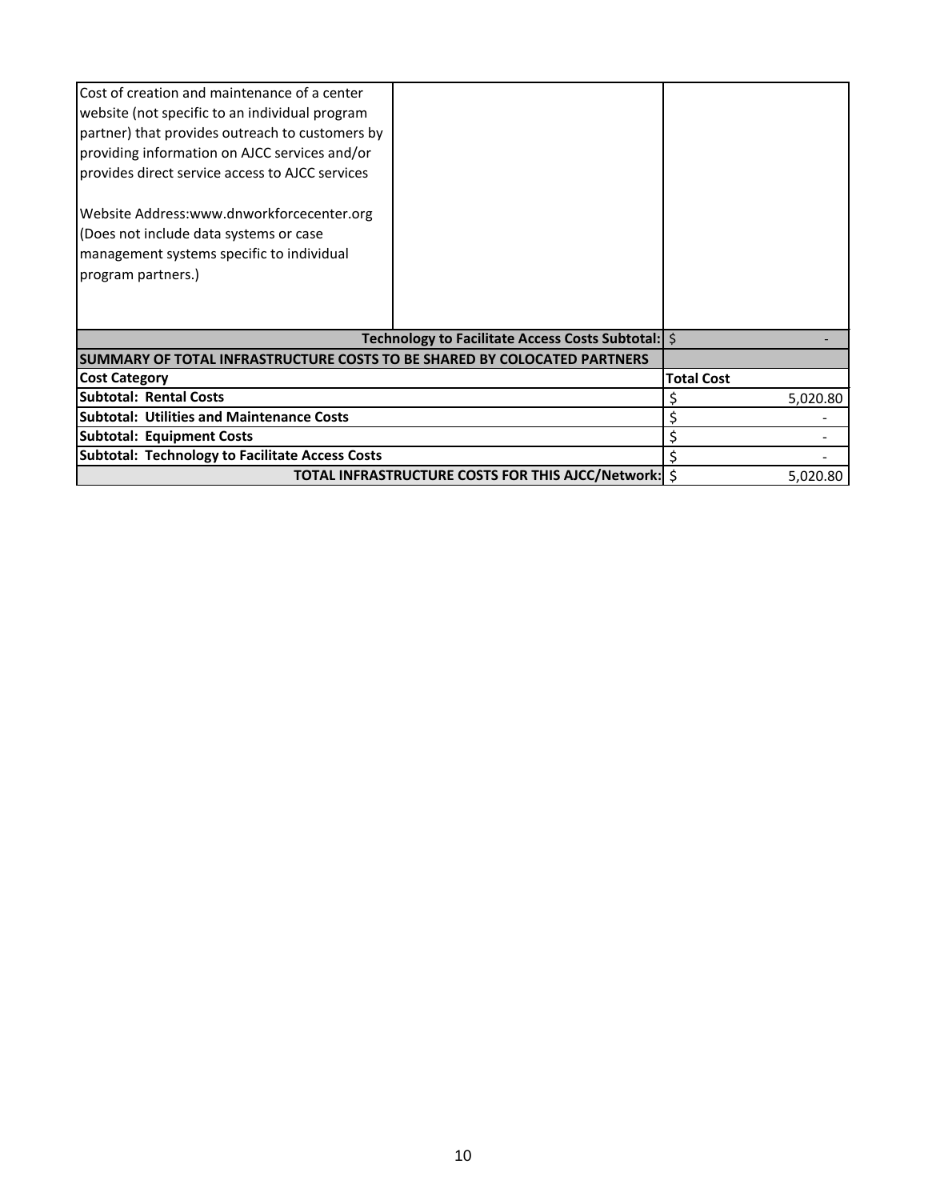| Cost of creation and maintenance of a center<br>website (not specific to an individual program<br>partner) that provides outreach to customers by<br>providing information on AJCC services and/or<br>provides direct service access to AJCC services<br>Website Address:www.dnworkforcecenter.org<br>(Does not include data systems or case<br>management systems specific to individual<br>program partners.) |                                                      |                   |          |
|-----------------------------------------------------------------------------------------------------------------------------------------------------------------------------------------------------------------------------------------------------------------------------------------------------------------------------------------------------------------------------------------------------------------|------------------------------------------------------|-------------------|----------|
|                                                                                                                                                                                                                                                                                                                                                                                                                 | Technology to Facilitate Access Costs Subtotal:   \$ |                   |          |
| ISUMMARY OF TOTAL INFRASTRUCTURE COSTS TO BE SHARED BY COLOCATED PARTNERS                                                                                                                                                                                                                                                                                                                                       |                                                      |                   |          |
| <b>Cost Category</b>                                                                                                                                                                                                                                                                                                                                                                                            |                                                      | <b>Total Cost</b> |          |
| <b>Subtotal: Rental Costs</b>                                                                                                                                                                                                                                                                                                                                                                                   |                                                      |                   | 5,020.80 |
| <b>Subtotal: Utilities and Maintenance Costs</b>                                                                                                                                                                                                                                                                                                                                                                |                                                      |                   |          |
| <b>Subtotal: Equipment Costs</b>                                                                                                                                                                                                                                                                                                                                                                                |                                                      |                   |          |
| <b>Subtotal: Technology to Facilitate Access Costs</b>                                                                                                                                                                                                                                                                                                                                                          |                                                      |                   |          |
|                                                                                                                                                                                                                                                                                                                                                                                                                 | TOTAL INFRASTRUCTURE COSTS FOR THIS AJCC/Network: \$ |                   | 5,020.80 |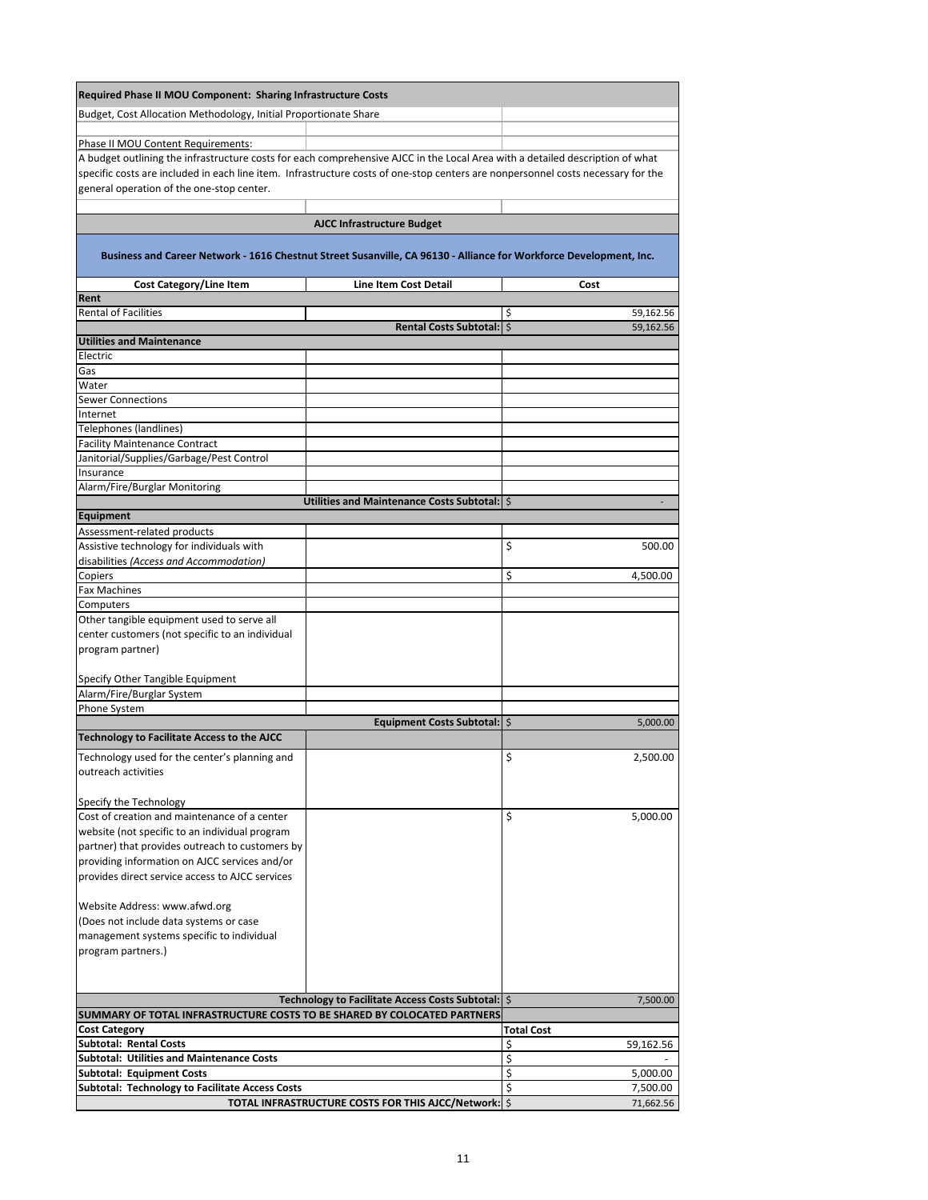| <b>Required Phase II MOU Component: Sharing Infrastructure Costs</b>                                                             |                                                      |                              |
|----------------------------------------------------------------------------------------------------------------------------------|------------------------------------------------------|------------------------------|
| Budget, Cost Allocation Methodology, Initial Proportionate Share                                                                 |                                                      |                              |
| Phase II MOU Content Requirements:                                                                                               |                                                      |                              |
| A budget outlining the infrastructure costs for each comprehensive AJCC in the Local Area with a detailed description of what    |                                                      |                              |
| specific costs are included in each line item. Infrastructure costs of one-stop centers are nonpersonnel costs necessary for the |                                                      |                              |
| general operation of the one-stop center.                                                                                        |                                                      |                              |
|                                                                                                                                  |                                                      |                              |
|                                                                                                                                  | <b>AJCC Infrastructure Budget</b>                    |                              |
| Business and Career Network - 1616 Chestnut Street Susanville, CA 96130 - Alliance for Workforce Development, Inc.               |                                                      |                              |
| <b>Cost Category/Line Item</b>                                                                                                   | <b>Line Item Cost Detail</b>                         | Cost                         |
| Rent                                                                                                                             |                                                      |                              |
| <b>Rental of Facilities</b>                                                                                                      | Rental Costs Subtotal:   \$                          | \$<br>59,162.56<br>59,162.56 |
| <b>Utilities and Maintenance</b>                                                                                                 |                                                      |                              |
| Electric                                                                                                                         |                                                      |                              |
| Gas                                                                                                                              |                                                      |                              |
| Water                                                                                                                            |                                                      |                              |
| <b>Sewer Connections</b><br>Internet                                                                                             |                                                      |                              |
| Telephones (landlines)                                                                                                           |                                                      |                              |
| <b>Facility Maintenance Contract</b>                                                                                             |                                                      |                              |
| Janitorial/Supplies/Garbage/Pest Control                                                                                         |                                                      |                              |
| Insurance                                                                                                                        |                                                      |                              |
| Alarm/Fire/Burglar Monitoring                                                                                                    |                                                      |                              |
| Equipment                                                                                                                        | Utilities and Maintenance Costs Subtotal:   \$       |                              |
| Assessment-related products                                                                                                      |                                                      |                              |
| Assistive technology for individuals with                                                                                        |                                                      | \$<br>500.00                 |
| disabilities (Access and Accommodation)                                                                                          |                                                      |                              |
| Copiers                                                                                                                          |                                                      | \$<br>4,500.00               |
| <b>Fax Machines</b>                                                                                                              |                                                      |                              |
| Computers<br>Other tangible equipment used to serve all                                                                          |                                                      |                              |
| center customers (not specific to an individual                                                                                  |                                                      |                              |
| program partner)                                                                                                                 |                                                      |                              |
|                                                                                                                                  |                                                      |                              |
| Specify Other Tangible Equipment                                                                                                 |                                                      |                              |
| Alarm/Fire/Burglar System                                                                                                        |                                                      |                              |
| Phone System                                                                                                                     | Equipment Costs Subtotal:   \$                       | 5,000.00                     |
| <b>Technology to Facilitate Access to the AJCC</b>                                                                               |                                                      |                              |
| Technology used for the center's planning and                                                                                    |                                                      | \$<br>2,500.00               |
| outreach activities                                                                                                              |                                                      |                              |
|                                                                                                                                  |                                                      |                              |
| Specify the Technology                                                                                                           |                                                      |                              |
| Cost of creation and maintenance of a center                                                                                     |                                                      | \$<br>5,000.00               |
| website (not specific to an individual program<br>partner) that provides outreach to customers by                                |                                                      |                              |
| providing information on AJCC services and/or                                                                                    |                                                      |                              |
| provides direct service access to AJCC services                                                                                  |                                                      |                              |
|                                                                                                                                  |                                                      |                              |
| Website Address: www.afwd.org                                                                                                    |                                                      |                              |
| (Does not include data systems or case                                                                                           |                                                      |                              |
| management systems specific to individual<br>program partners.)                                                                  |                                                      |                              |
|                                                                                                                                  |                                                      |                              |
|                                                                                                                                  |                                                      |                              |
|                                                                                                                                  | Technology to Facilitate Access Costs Subtotal:   \$ | 7,500.00                     |
| SUMMARY OF TOTAL INFRASTRUCTURE COSTS TO BE SHARED BY COLOCATED PARTNERS                                                         |                                                      |                              |
| <b>Cost Category</b>                                                                                                             |                                                      | <b>Total Cost</b>            |
| <b>Subtotal: Rental Costs</b><br><b>Subtotal: Utilities and Maintenance Costs</b>                                                |                                                      | \$<br>59,162.56              |
| <b>Subtotal: Equipment Costs</b>                                                                                                 |                                                      | \$<br>\$<br>5,000.00         |
| Subtotal: Technology to Facilitate Access Costs                                                                                  |                                                      | \$<br>7,500.00               |
|                                                                                                                                  | TOTAL INFRASTRUCTURE COSTS FOR THIS AJCC/Network: \$ | 71,662.56                    |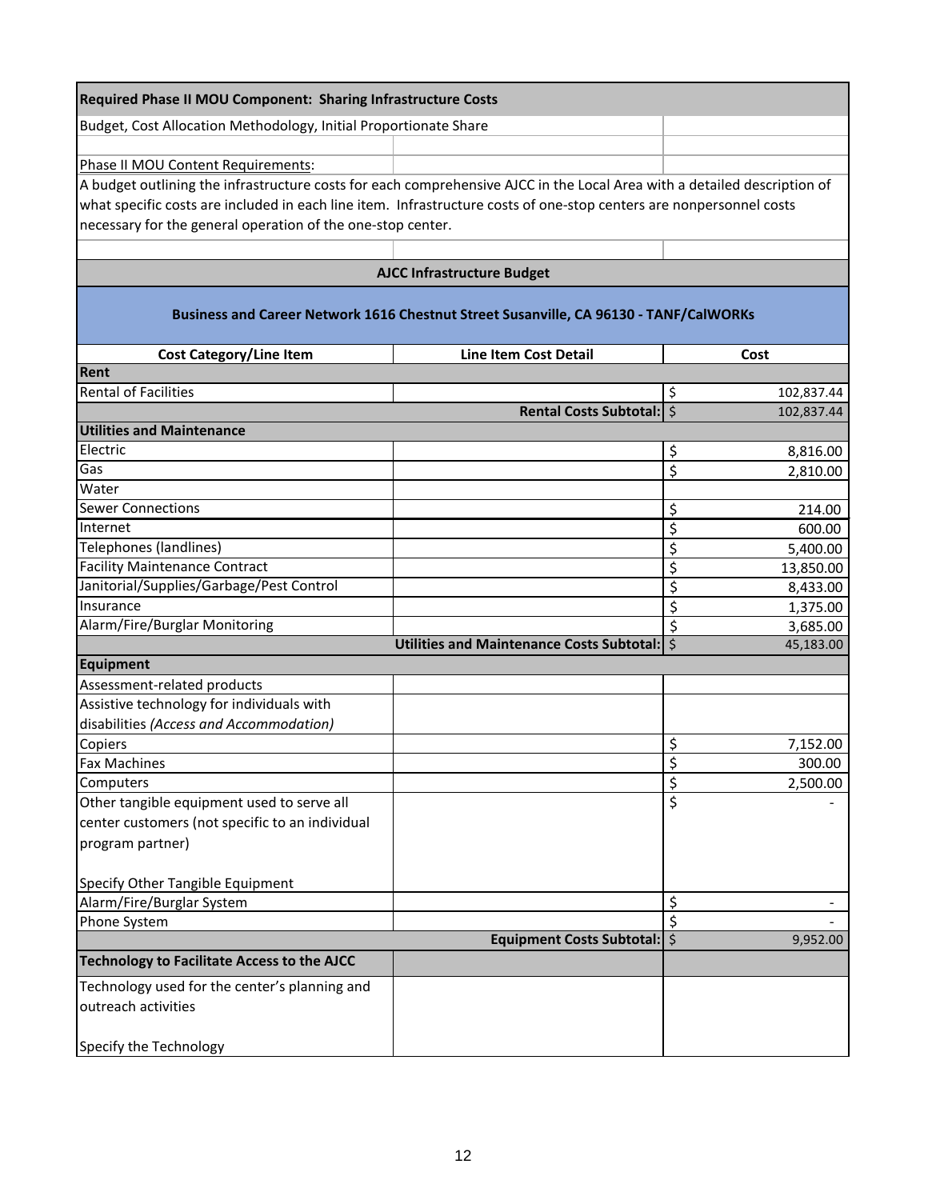| <b>Required Phase II MOU Component: Sharing Infrastructure Costs</b>                                                     |                                                                                       |                            |
|--------------------------------------------------------------------------------------------------------------------------|---------------------------------------------------------------------------------------|----------------------------|
| Budget, Cost Allocation Methodology, Initial Proportionate Share                                                         |                                                                                       |                            |
|                                                                                                                          |                                                                                       |                            |
| Phase II MOU Content Requirements:                                                                                       |                                                                                       |                            |
| A budget outlining the infrastructure costs for each comprehensive AJCC in the Local Area with a detailed description of |                                                                                       |                            |
| what specific costs are included in each line item. Infrastructure costs of one-stop centers are nonpersonnel costs      |                                                                                       |                            |
| necessary for the general operation of the one-stop center.                                                              |                                                                                       |                            |
|                                                                                                                          |                                                                                       |                            |
|                                                                                                                          | <b>AJCC Infrastructure Budget</b>                                                     |                            |
|                                                                                                                          | Business and Career Network 1616 Chestnut Street Susanville, CA 96130 - TANF/CalWORKs |                            |
| <b>Cost Category/Line Item</b>                                                                                           | <b>Line Item Cost Detail</b>                                                          | Cost                       |
| Rent                                                                                                                     |                                                                                       |                            |
| <b>Rental of Facilities</b>                                                                                              |                                                                                       | \$<br>102,837.44           |
|                                                                                                                          | Rental Costs Subtotal:   \$                                                           | 102,837.44                 |
| <b>Utilities and Maintenance</b>                                                                                         |                                                                                       |                            |
| Electric                                                                                                                 |                                                                                       | \$<br>8,816.00             |
| Gas                                                                                                                      |                                                                                       | \$<br>2,810.00             |
| Water                                                                                                                    |                                                                                       |                            |
| <b>Sewer Connections</b><br>Internet                                                                                     |                                                                                       | \$<br>214.00               |
| Telephones (landlines)                                                                                                   |                                                                                       | \$<br>600.00               |
| <b>Facility Maintenance Contract</b>                                                                                     |                                                                                       | \$<br>5,400.00<br>\$       |
| Janitorial/Supplies/Garbage/Pest Control                                                                                 |                                                                                       | 13,850.00<br>\$            |
| Insurance                                                                                                                |                                                                                       | 8,433.00<br>\$             |
| Alarm/Fire/Burglar Monitoring                                                                                            |                                                                                       | 1,375.00<br>\$<br>3,685.00 |
|                                                                                                                          | Utilities and Maintenance Costs Subtotal:                                             | \$<br>45,183.00            |
| Equipment                                                                                                                |                                                                                       |                            |
| Assessment-related products                                                                                              |                                                                                       |                            |
| Assistive technology for individuals with                                                                                |                                                                                       |                            |
| disabilities (Access and Accommodation)                                                                                  |                                                                                       |                            |
| Copiers                                                                                                                  |                                                                                       | \$<br>7,152.00             |
| <b>Fax Machines</b>                                                                                                      |                                                                                       | \$<br>300.00               |
| Computers                                                                                                                |                                                                                       | \$<br>2,500.00             |
| Other tangible equipment used to serve all                                                                               |                                                                                       | \$                         |
| center customers (not specific to an individual                                                                          |                                                                                       |                            |
| program partner)                                                                                                         |                                                                                       |                            |
|                                                                                                                          |                                                                                       |                            |
| Specify Other Tangible Equipment                                                                                         |                                                                                       |                            |
| Alarm/Fire/Burglar System                                                                                                |                                                                                       | \$                         |
| Phone System                                                                                                             |                                                                                       | \$                         |
|                                                                                                                          | <b>Equipment Costs Subtotal:</b>   \$                                                 | 9,952.00                   |
| <b>Technology to Facilitate Access to the AJCC</b>                                                                       |                                                                                       |                            |
| Technology used for the center's planning and                                                                            |                                                                                       |                            |
| outreach activities                                                                                                      |                                                                                       |                            |
|                                                                                                                          |                                                                                       |                            |
| Specify the Technology                                                                                                   |                                                                                       |                            |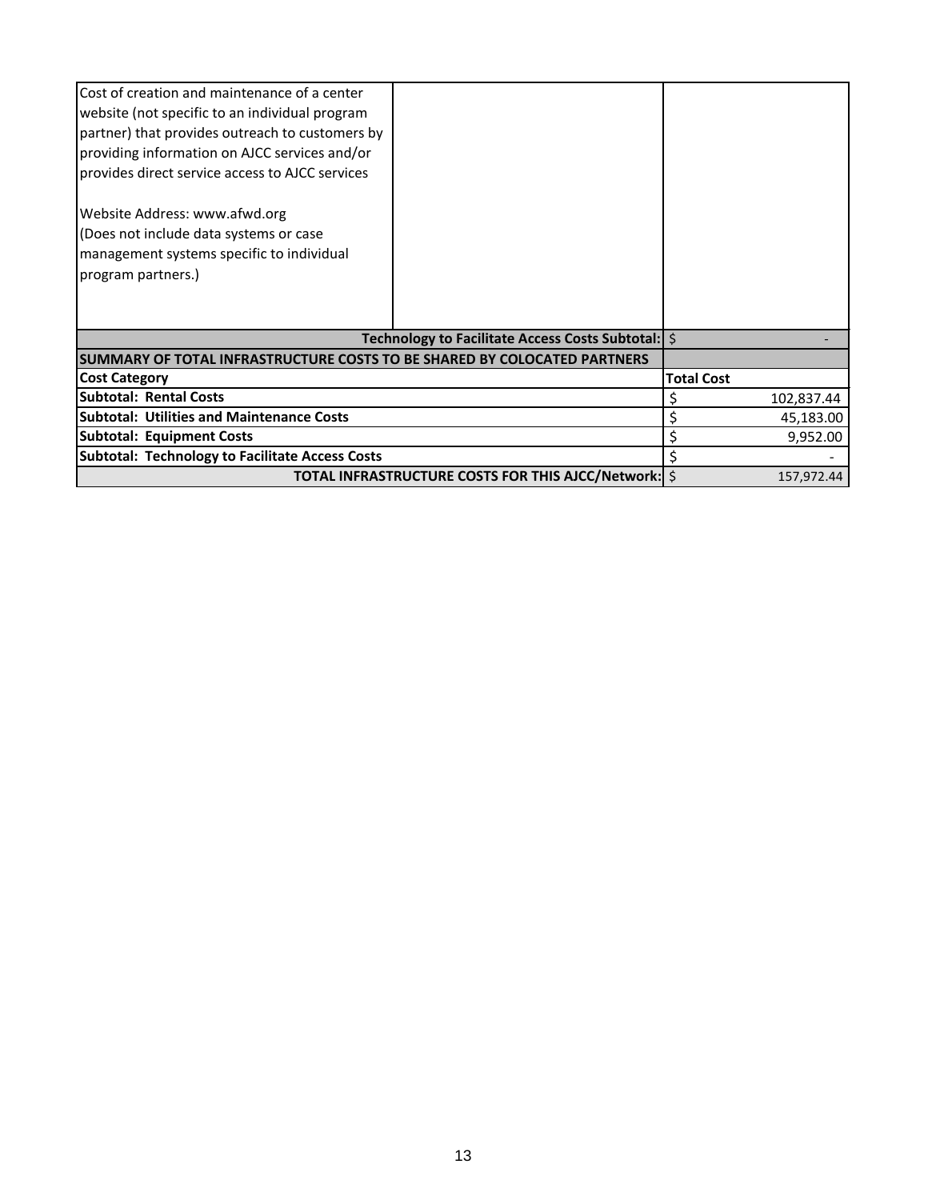| Cost of creation and maintenance of a center                             |                                                      |                   |
|--------------------------------------------------------------------------|------------------------------------------------------|-------------------|
| website (not specific to an individual program                           |                                                      |                   |
| partner) that provides outreach to customers by                          |                                                      |                   |
| providing information on AJCC services and/or                            |                                                      |                   |
| provides direct service access to AJCC services                          |                                                      |                   |
| Website Address: www.afwd.org                                            |                                                      |                   |
| (Does not include data systems or case                                   |                                                      |                   |
| management systems specific to individual                                |                                                      |                   |
| program partners.)                                                       |                                                      |                   |
|                                                                          |                                                      |                   |
|                                                                          |                                                      |                   |
|                                                                          | Technology to Facilitate Access Costs Subtotal:   \$ |                   |
| SUMMARY OF TOTAL INFRASTRUCTURE COSTS TO BE SHARED BY COLOCATED PARTNERS |                                                      |                   |
| <b>Cost Category</b>                                                     |                                                      | <b>Total Cost</b> |
| <b>Subtotal: Rental Costs</b>                                            |                                                      | 102,837.44        |
| <b>Subtotal: Utilities and Maintenance Costs</b>                         |                                                      | 45,183.00         |
| <b>Subtotal: Equipment Costs</b>                                         |                                                      | 9,952.00          |
| <b>Subtotal: Technology to Facilitate Access Costs</b>                   |                                                      |                   |
|                                                                          | TOTAL INFRASTRUCTURE COSTS FOR THIS AJCC/Network: \$ | 157,972.44        |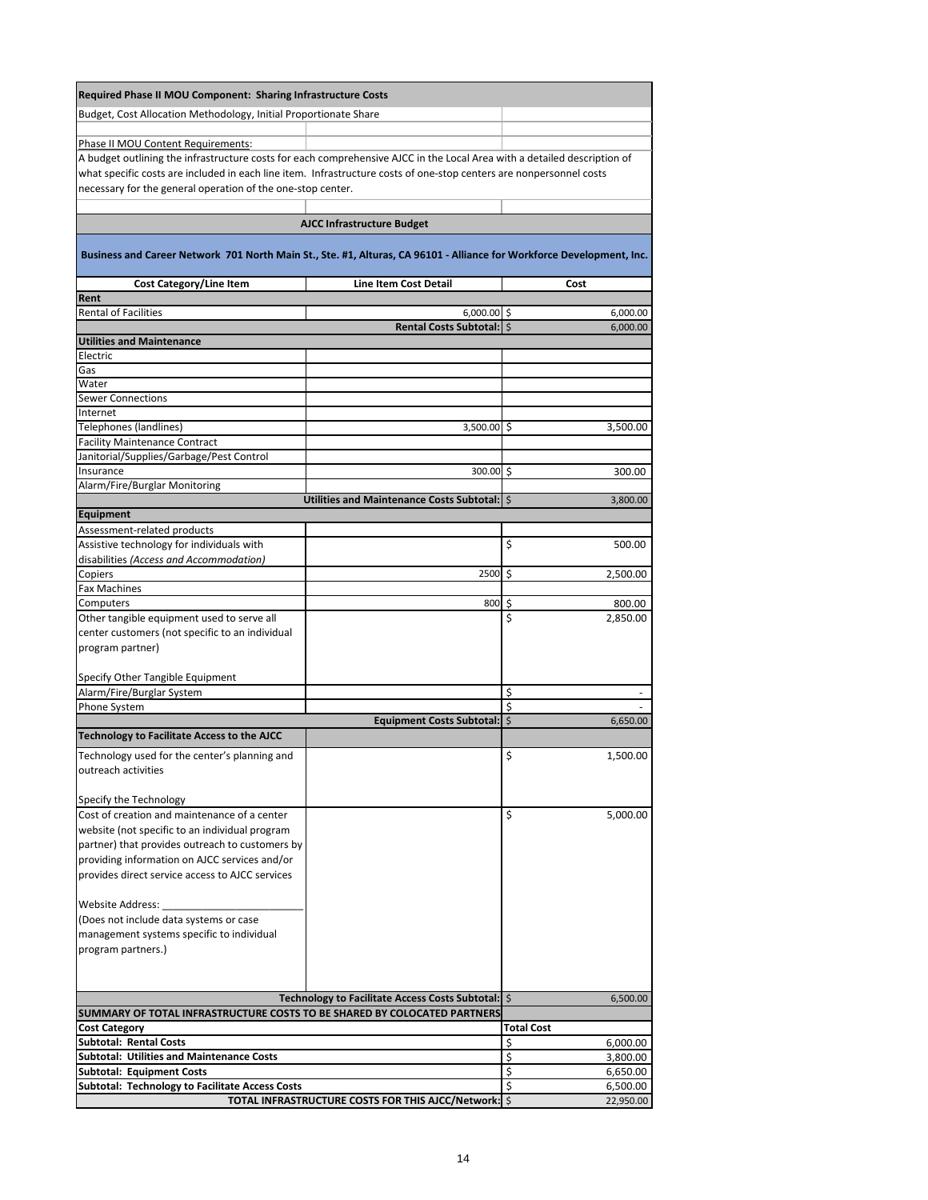| Required Phase II MOU Component: Sharing Infrastructure Costs                                                                                                                                                                                                                                                  |                                                      |                                     |
|----------------------------------------------------------------------------------------------------------------------------------------------------------------------------------------------------------------------------------------------------------------------------------------------------------------|------------------------------------------------------|-------------------------------------|
| Budget, Cost Allocation Methodology, Initial Proportionate Share                                                                                                                                                                                                                                               |                                                      |                                     |
| Phase II MOU Content Requirements:                                                                                                                                                                                                                                                                             |                                                      |                                     |
| A budget outlining the infrastructure costs for each comprehensive AJCC in the Local Area with a detailed description of<br>what specific costs are included in each line item. Infrastructure costs of one-stop centers are nonpersonnel costs<br>necessary for the general operation of the one-stop center. |                                                      |                                     |
|                                                                                                                                                                                                                                                                                                                | <b>AJCC Infrastructure Budget</b>                    |                                     |
| Business and Career Network 701 North Main St., Ste. #1, Alturas, CA 96101 - Alliance for Workforce Development, Inc.                                                                                                                                                                                          |                                                      |                                     |
| <b>Cost Category/Line Item</b>                                                                                                                                                                                                                                                                                 | <b>Line Item Cost Detail</b>                         | Cost                                |
| Rent<br><b>Rental of Facilities</b>                                                                                                                                                                                                                                                                            | $6,000.00$ \$                                        | 6,000.00                            |
|                                                                                                                                                                                                                                                                                                                | Rental Costs Subtotal:   \$                          | 6,000.00                            |
| <b>Utilities and Maintenance</b>                                                                                                                                                                                                                                                                               |                                                      |                                     |
| Electric                                                                                                                                                                                                                                                                                                       |                                                      |                                     |
| Gas<br>Water                                                                                                                                                                                                                                                                                                   |                                                      |                                     |
| <b>Sewer Connections</b>                                                                                                                                                                                                                                                                                       |                                                      |                                     |
| Internet                                                                                                                                                                                                                                                                                                       |                                                      |                                     |
| <b>Telephones (landlines)</b>                                                                                                                                                                                                                                                                                  | 3,500.00 \$                                          | 3,500.00                            |
| <b>Facility Maintenance Contract</b>                                                                                                                                                                                                                                                                           |                                                      |                                     |
| Janitorial/Supplies/Garbage/Pest Control                                                                                                                                                                                                                                                                       |                                                      |                                     |
| Insurance                                                                                                                                                                                                                                                                                                      | 300.00 \$                                            | 300.00                              |
| Alarm/Fire/Burglar Monitoring                                                                                                                                                                                                                                                                                  |                                                      |                                     |
| <b>Equipment</b>                                                                                                                                                                                                                                                                                               | Utilities and Maintenance Costs Subtotal:   \$       | 3,800.00                            |
| Assessment-related products                                                                                                                                                                                                                                                                                    |                                                      |                                     |
| Assistive technology for individuals with                                                                                                                                                                                                                                                                      |                                                      | \$<br>500.00                        |
| disabilities (Access and Accommodation)                                                                                                                                                                                                                                                                        |                                                      |                                     |
| Copiers                                                                                                                                                                                                                                                                                                        | 2500 \$                                              | 2,500.00                            |
| <b>Fax Machines</b>                                                                                                                                                                                                                                                                                            |                                                      |                                     |
| Computers                                                                                                                                                                                                                                                                                                      | $800\frac{1}{5}$                                     | 800.00                              |
| Other tangible equipment used to serve all                                                                                                                                                                                                                                                                     |                                                      | \$<br>2,850.00                      |
| center customers (not specific to an individual<br>program partner)                                                                                                                                                                                                                                            |                                                      |                                     |
|                                                                                                                                                                                                                                                                                                                |                                                      |                                     |
| Specify Other Tangible Equipment                                                                                                                                                                                                                                                                               |                                                      |                                     |
| Alarm/Fire/Burglar System                                                                                                                                                                                                                                                                                      |                                                      | \$                                  |
| Phone System                                                                                                                                                                                                                                                                                                   |                                                      | \$                                  |
|                                                                                                                                                                                                                                                                                                                | Equipment Costs Subtotal: \$                         | 6,650.00                            |
| Technology to Facilitate Access to the AJCC                                                                                                                                                                                                                                                                    |                                                      |                                     |
| Technology used for the center's planning and<br>outreach activities                                                                                                                                                                                                                                           |                                                      | \$<br>1,500.00                      |
| Specify the Technology                                                                                                                                                                                                                                                                                         |                                                      |                                     |
| Cost of creation and maintenance of a center                                                                                                                                                                                                                                                                   |                                                      | \$<br>5,000.00                      |
| website (not specific to an individual program                                                                                                                                                                                                                                                                 |                                                      |                                     |
| partner) that provides outreach to customers by                                                                                                                                                                                                                                                                |                                                      |                                     |
| providing information on AJCC services and/or                                                                                                                                                                                                                                                                  |                                                      |                                     |
| provides direct service access to AJCC services                                                                                                                                                                                                                                                                |                                                      |                                     |
| <b>Website Address:</b>                                                                                                                                                                                                                                                                                        |                                                      |                                     |
| (Does not include data systems or case                                                                                                                                                                                                                                                                         |                                                      |                                     |
| management systems specific to individual                                                                                                                                                                                                                                                                      |                                                      |                                     |
| program partners.)                                                                                                                                                                                                                                                                                             |                                                      |                                     |
|                                                                                                                                                                                                                                                                                                                |                                                      |                                     |
|                                                                                                                                                                                                                                                                                                                | Technology to Facilitate Access Costs Subtotal:   \$ | 6,500.00                            |
| SUMMARY OF TOTAL INFRASTRUCTURE COSTS TO BE SHARED BY COLOCATED PARTNERS                                                                                                                                                                                                                                       |                                                      |                                     |
| <b>Cost Category</b><br><b>Subtotal: Rental Costs</b>                                                                                                                                                                                                                                                          |                                                      | <b>Total Cost</b><br>\$<br>6,000.00 |
| <b>Subtotal: Utilities and Maintenance Costs</b>                                                                                                                                                                                                                                                               |                                                      | \$<br>3,800.00                      |
| <b>Subtotal: Equipment Costs</b>                                                                                                                                                                                                                                                                               |                                                      | \$<br>6,650.00                      |
| Subtotal: Technology to Facilitate Access Costs                                                                                                                                                                                                                                                                |                                                      | \$<br>6,500.00                      |
|                                                                                                                                                                                                                                                                                                                | TOTAL INFRASTRUCTURE COSTS FOR THIS AJCC/Network: \$ | 22,950.00                           |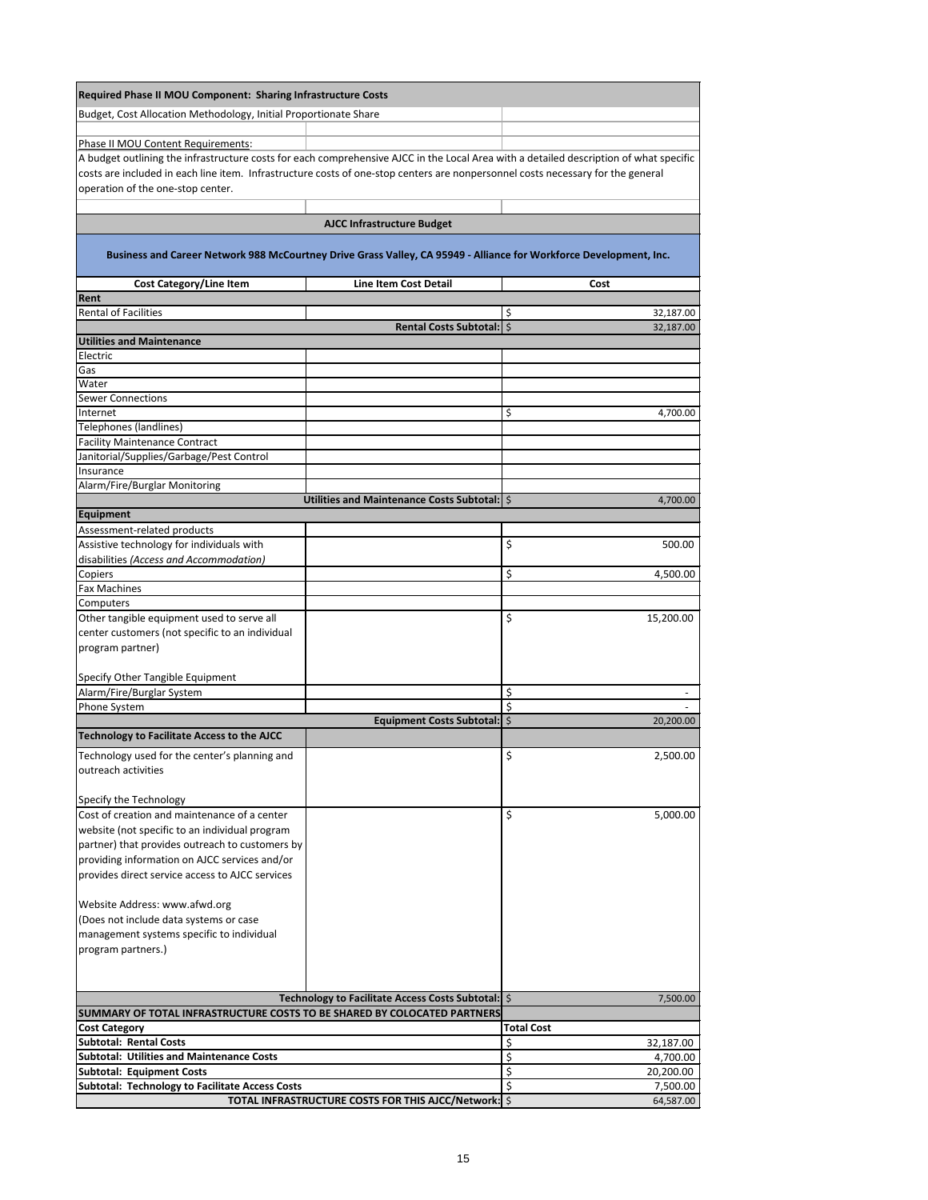| Required Phase II MOU Component: Sharing Infrastructure Costs                                                                          |                                                      |                              |
|----------------------------------------------------------------------------------------------------------------------------------------|------------------------------------------------------|------------------------------|
| Budget, Cost Allocation Methodology, Initial Proportionate Share                                                                       |                                                      |                              |
|                                                                                                                                        |                                                      |                              |
| Phase II MOU Content Requirements:                                                                                                     |                                                      |                              |
| A budget outlining the infrastructure costs for each comprehensive AJCC in the Local Area with a detailed description of what specific |                                                      |                              |
| costs are included in each line item. Infrastructure costs of one-stop centers are nonpersonnel costs necessary for the general        |                                                      |                              |
| operation of the one-stop center.                                                                                                      |                                                      |                              |
|                                                                                                                                        |                                                      |                              |
|                                                                                                                                        | <b>AJCC Infrastructure Budget</b>                    |                              |
| Business and Career Network 988 McCourtney Drive Grass Valley, CA 95949 - Alliance for Workforce Development, Inc.                     |                                                      |                              |
| <b>Cost Category/Line Item</b>                                                                                                         | <b>Line Item Cost Detail</b>                         | Cost                         |
| Rent                                                                                                                                   |                                                      |                              |
| <b>Rental of Facilities</b>                                                                                                            | Rental Costs Subtotal:   \$                          | \$<br>32,187.00<br>32,187.00 |
| <b>Utilities and Maintenance</b>                                                                                                       |                                                      |                              |
| Electric                                                                                                                               |                                                      |                              |
| Gas                                                                                                                                    |                                                      |                              |
| Water                                                                                                                                  |                                                      |                              |
| <b>Sewer Connections</b>                                                                                                               |                                                      |                              |
| Internet                                                                                                                               |                                                      | \$<br>4,700.00               |
| Telephones (landlines)                                                                                                                 |                                                      |                              |
| <b>Facility Maintenance Contract</b>                                                                                                   |                                                      |                              |
| Janitorial/Supplies/Garbage/Pest Control                                                                                               |                                                      |                              |
| <b>Insurance</b><br>Alarm/Fire/Burglar Monitoring                                                                                      |                                                      |                              |
|                                                                                                                                        | Utilities and Maintenance Costs Subtotal:   \$       | 4,700.00                     |
| Equipment                                                                                                                              |                                                      |                              |
| Assessment-related products                                                                                                            |                                                      |                              |
| Assistive technology for individuals with                                                                                              |                                                      | \$<br>500.00                 |
| disabilities (Access and Accommodation)                                                                                                |                                                      |                              |
| Copiers                                                                                                                                |                                                      | \$<br>4,500.00               |
| <b>Fax Machines</b>                                                                                                                    |                                                      |                              |
| Computers                                                                                                                              |                                                      |                              |
| Other tangible equipment used to serve all                                                                                             |                                                      | \$<br>15,200.00              |
| center customers (not specific to an individual                                                                                        |                                                      |                              |
| program partner)                                                                                                                       |                                                      |                              |
|                                                                                                                                        |                                                      |                              |
| Specify Other Tangible Equipment<br>Alarm/Fire/Burglar System                                                                          |                                                      | \$                           |
| Phone System                                                                                                                           |                                                      | \$                           |
|                                                                                                                                        | <b>Equipment Costs Subtotal:   \$</b>                | 20,200.00                    |
| <b>Technology to Facilitate Access to the AJCC</b>                                                                                     |                                                      |                              |
| Technology used for the center's planning and                                                                                          |                                                      | \$<br>2,500.00               |
| outreach activities                                                                                                                    |                                                      |                              |
|                                                                                                                                        |                                                      |                              |
| Specify the Technology                                                                                                                 |                                                      |                              |
| Cost of creation and maintenance of a center                                                                                           |                                                      | \$<br>5,000.00               |
| website (not specific to an individual program                                                                                         |                                                      |                              |
| partner) that provides outreach to customers by                                                                                        |                                                      |                              |
| providing information on AJCC services and/or                                                                                          |                                                      |                              |
| provides direct service access to AJCC services                                                                                        |                                                      |                              |
|                                                                                                                                        |                                                      |                              |
| Website Address: www.afwd.org                                                                                                          |                                                      |                              |
| (Does not include data systems or case                                                                                                 |                                                      |                              |
| management systems specific to individual<br>program partners.)                                                                        |                                                      |                              |
|                                                                                                                                        |                                                      |                              |
|                                                                                                                                        |                                                      |                              |
|                                                                                                                                        | Technology to Facilitate Access Costs Subtotal:   \$ | 7,500.00                     |
| SUMMARY OF TOTAL INFRASTRUCTURE COSTS TO BE SHARED BY COLOCATED PARTNERS                                                               |                                                      |                              |
| <b>Cost Category</b>                                                                                                                   |                                                      | <b>Total Cost</b>            |
| <b>Subtotal: Rental Costs</b>                                                                                                          |                                                      | \$<br>32,187.00              |
| <b>Subtotal: Utilities and Maintenance Costs</b>                                                                                       |                                                      | \$<br>4,700.00               |
| <b>Subtotal: Equipment Costs</b>                                                                                                       |                                                      | \$<br>20,200.00              |
| <b>Subtotal: Technology to Facilitate Access Costs</b>                                                                                 |                                                      | \$<br>7,500.00               |
|                                                                                                                                        | TOTAL INFRASTRUCTURE COSTS FOR THIS AJCC/Network: \$ | 64,587.00                    |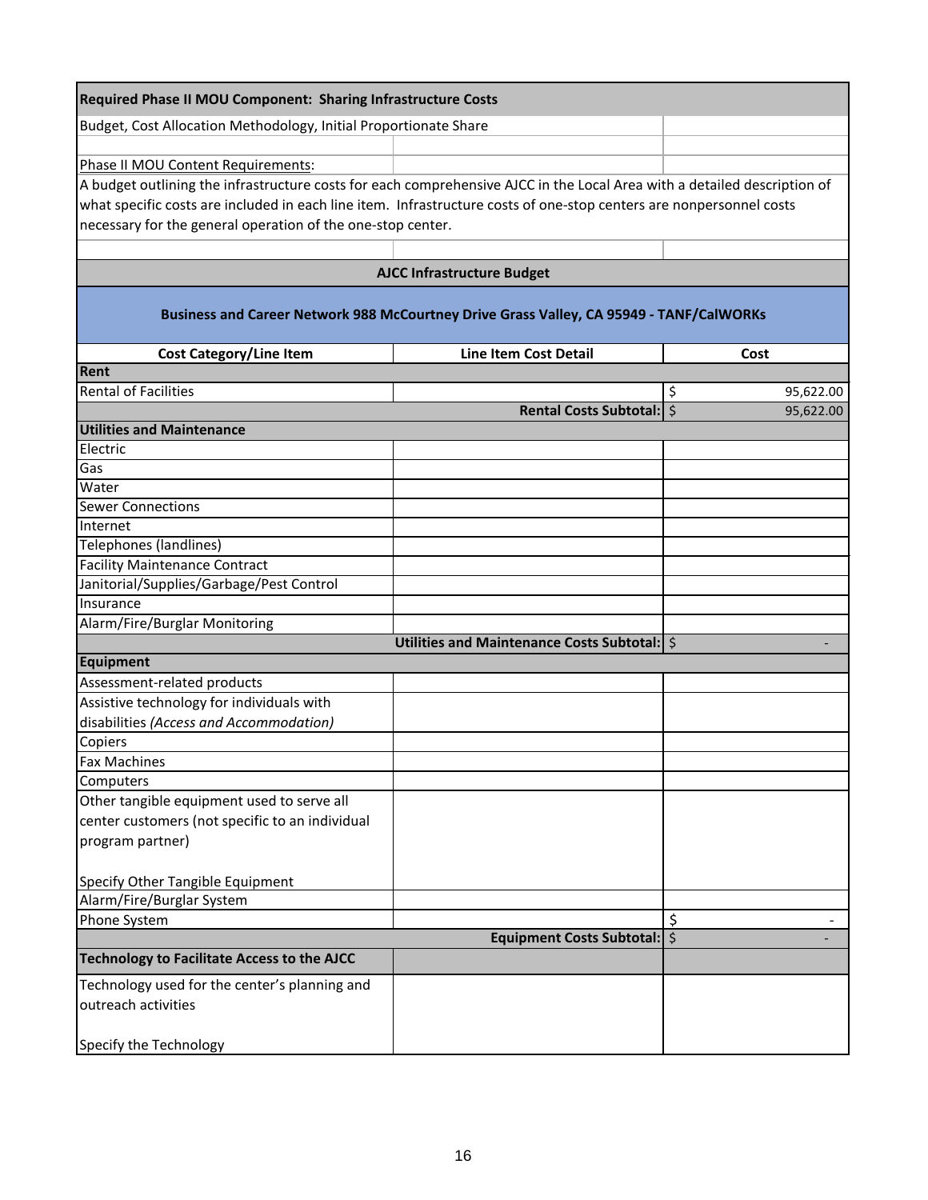| <b>Required Phase II MOU Component: Sharing Infrastructure Costs</b>                                                     |                                                                                         |                 |
|--------------------------------------------------------------------------------------------------------------------------|-----------------------------------------------------------------------------------------|-----------------|
| Budget, Cost Allocation Methodology, Initial Proportionate Share                                                         |                                                                                         |                 |
|                                                                                                                          |                                                                                         |                 |
| Phase II MOU Content Requirements:                                                                                       |                                                                                         |                 |
| A budget outlining the infrastructure costs for each comprehensive AJCC in the Local Area with a detailed description of |                                                                                         |                 |
| what specific costs are included in each line item. Infrastructure costs of one-stop centers are nonpersonnel costs      |                                                                                         |                 |
| necessary for the general operation of the one-stop center.                                                              |                                                                                         |                 |
|                                                                                                                          |                                                                                         |                 |
|                                                                                                                          | <b>AJCC Infrastructure Budget</b>                                                       |                 |
|                                                                                                                          | Business and Career Network 988 McCourtney Drive Grass Valley, CA 95949 - TANF/CalWORKs |                 |
| <b>Cost Category/Line Item</b>                                                                                           | <b>Line Item Cost Detail</b>                                                            | Cost            |
| Rent                                                                                                                     |                                                                                         |                 |
| <b>Rental of Facilities</b>                                                                                              |                                                                                         | \$<br>95,622.00 |
|                                                                                                                          | Rental Costs Subtotal:   \$                                                             | 95,622.00       |
| <b>Utilities and Maintenance</b>                                                                                         |                                                                                         |                 |
| Electric                                                                                                                 |                                                                                         |                 |
| Gas                                                                                                                      |                                                                                         |                 |
| Water                                                                                                                    |                                                                                         |                 |
| <b>Sewer Connections</b>                                                                                                 |                                                                                         |                 |
| Internet                                                                                                                 |                                                                                         |                 |
| <b>Telephones (landlines)</b><br><b>Facility Maintenance Contract</b>                                                    |                                                                                         |                 |
| Janitorial/Supplies/Garbage/Pest Control                                                                                 |                                                                                         |                 |
| Insurance                                                                                                                |                                                                                         |                 |
| Alarm/Fire/Burglar Monitoring                                                                                            |                                                                                         |                 |
|                                                                                                                          | Utilities and Maintenance Costs Subtotal:   \$                                          |                 |
| Equipment                                                                                                                |                                                                                         |                 |
| Assessment-related products                                                                                              |                                                                                         |                 |
| Assistive technology for individuals with                                                                                |                                                                                         |                 |
| disabilities (Access and Accommodation)                                                                                  |                                                                                         |                 |
| Copiers                                                                                                                  |                                                                                         |                 |
| <b>Fax Machines</b>                                                                                                      |                                                                                         |                 |
| Computers                                                                                                                |                                                                                         |                 |
| Other tangible equipment used to serve all                                                                               |                                                                                         |                 |
| center customers (not specific to an individual                                                                          |                                                                                         |                 |
| program partner)                                                                                                         |                                                                                         |                 |
|                                                                                                                          |                                                                                         |                 |
| Specify Other Tangible Equipment                                                                                         |                                                                                         |                 |
| Alarm/Fire/Burglar System                                                                                                |                                                                                         |                 |
| Phone System                                                                                                             |                                                                                         | \$              |
|                                                                                                                          | Equipment Costs Subtotal:   \$                                                          |                 |
| <b>Technology to Facilitate Access to the AJCC</b>                                                                       |                                                                                         |                 |
| Technology used for the center's planning and                                                                            |                                                                                         |                 |
| outreach activities                                                                                                      |                                                                                         |                 |
|                                                                                                                          |                                                                                         |                 |
| Specify the Technology                                                                                                   |                                                                                         |                 |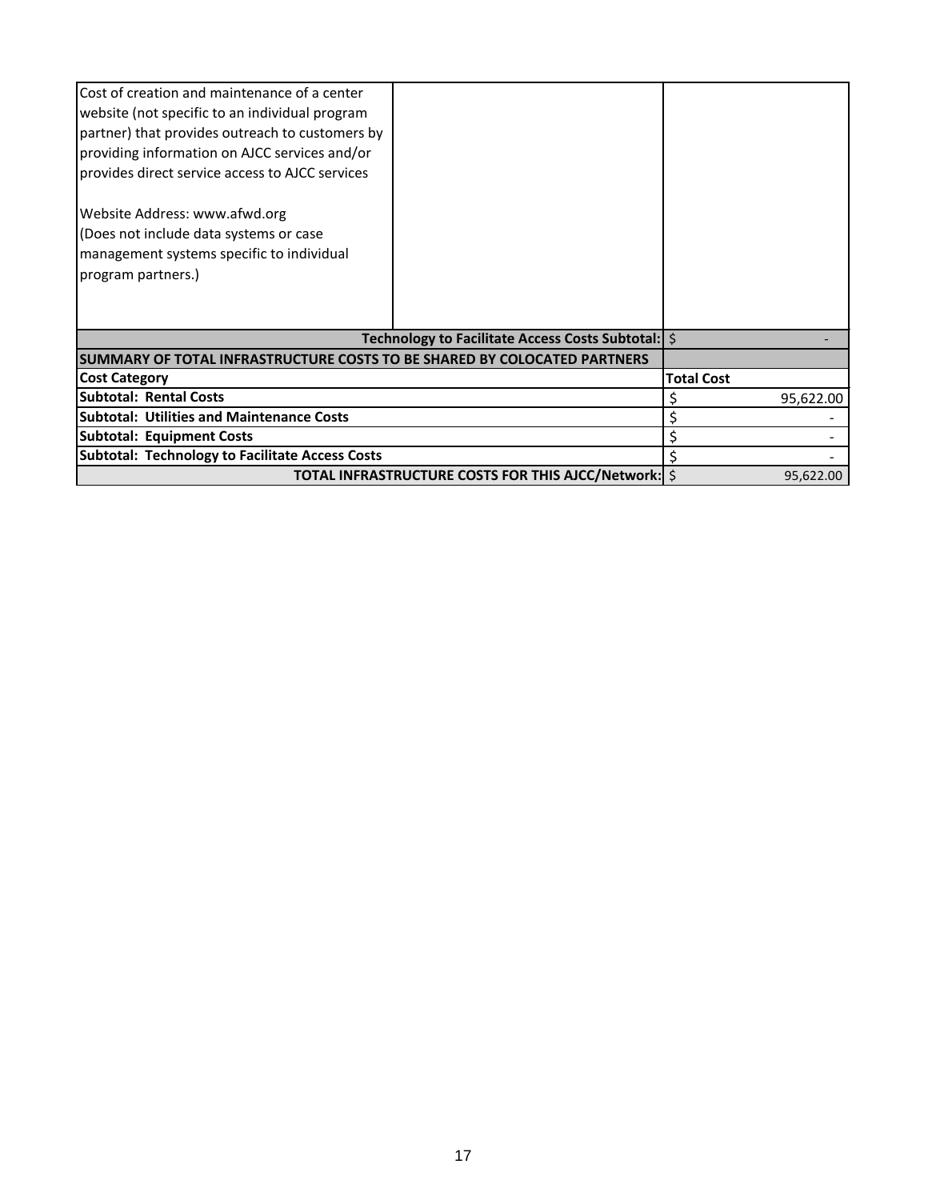| Cost of creation and maintenance of a center<br>website (not specific to an individual program<br>partner) that provides outreach to customers by<br>providing information on AJCC services and/or<br>provides direct service access to AJCC services<br>Website Address: www.afwd.org<br>(Does not include data systems or case<br>management systems specific to individual<br>program partners.) |                                                            |                   |
|-----------------------------------------------------------------------------------------------------------------------------------------------------------------------------------------------------------------------------------------------------------------------------------------------------------------------------------------------------------------------------------------------------|------------------------------------------------------------|-------------------|
|                                                                                                                                                                                                                                                                                                                                                                                                     | Technology to Facilitate Access Costs Subtotal:   \$       |                   |
| SUMMARY OF TOTAL INFRASTRUCTURE COSTS TO BE SHARED BY COLOCATED PARTNERS                                                                                                                                                                                                                                                                                                                            |                                                            |                   |
| <b>Cost Category</b>                                                                                                                                                                                                                                                                                                                                                                                |                                                            | <b>Total Cost</b> |
| <b>Subtotal: Rental Costs</b>                                                                                                                                                                                                                                                                                                                                                                       |                                                            | 95,622.00         |
| <b>Subtotal: Utilities and Maintenance Costs</b>                                                                                                                                                                                                                                                                                                                                                    |                                                            |                   |
| <b>Subtotal: Equipment Costs</b>                                                                                                                                                                                                                                                                                                                                                                    |                                                            |                   |
| <b>Subtotal: Technology to Facilitate Access Costs</b>                                                                                                                                                                                                                                                                                                                                              |                                                            |                   |
|                                                                                                                                                                                                                                                                                                                                                                                                     | <b>TOTAL INFRASTRUCTURE COSTS FOR THIS AJCC/Network: S</b> | 95,622.00         |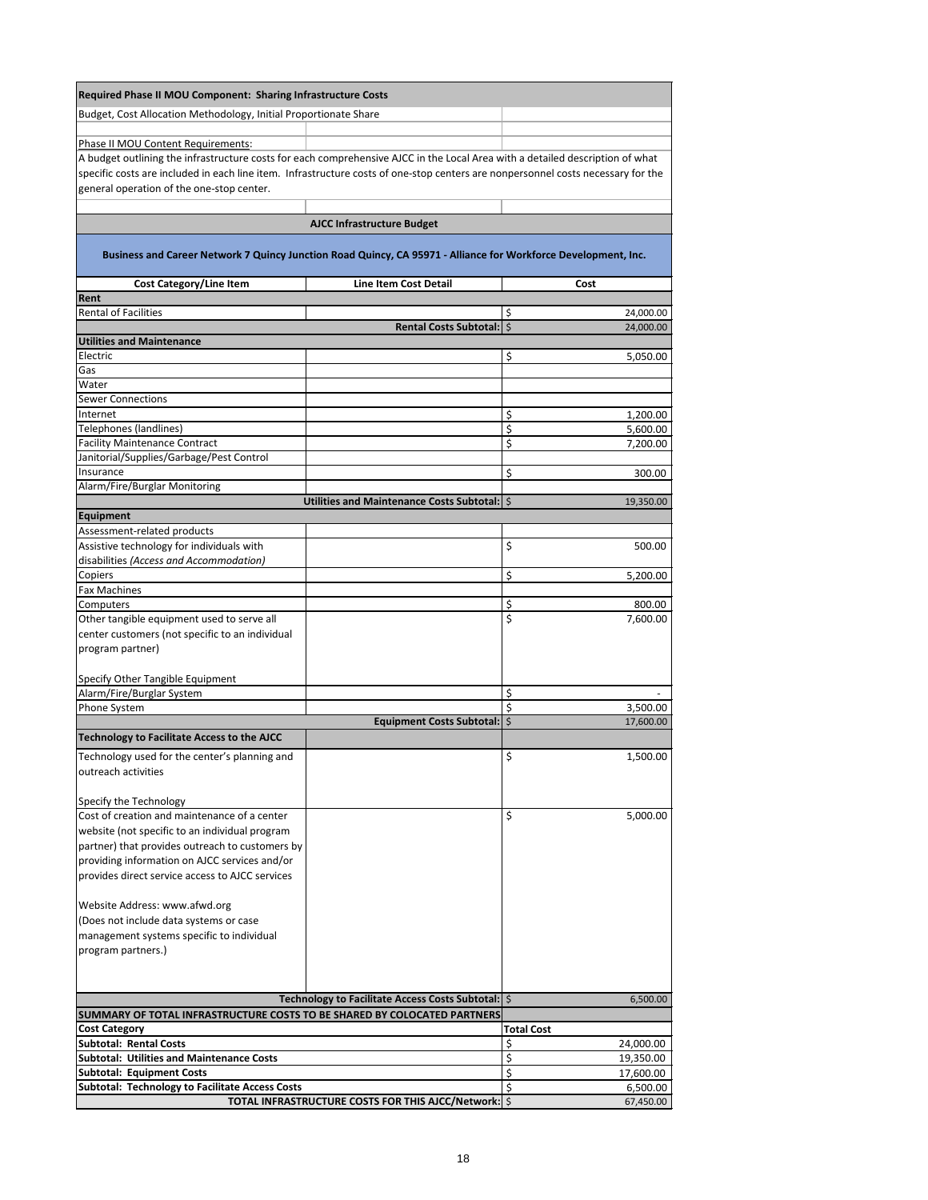| Required Phase II MOU Component: Sharing Infrastructure Costs                                                                    |                                                      |                   |           |
|----------------------------------------------------------------------------------------------------------------------------------|------------------------------------------------------|-------------------|-----------|
| Budget, Cost Allocation Methodology, Initial Proportionate Share                                                                 |                                                      |                   |           |
| Phase II MOU Content Requirements:                                                                                               |                                                      |                   |           |
| A budget outlining the infrastructure costs for each comprehensive AJCC in the Local Area with a detailed description of what    |                                                      |                   |           |
| specific costs are included in each line item. Infrastructure costs of one-stop centers are nonpersonnel costs necessary for the |                                                      |                   |           |
| general operation of the one-stop center.                                                                                        |                                                      |                   |           |
|                                                                                                                                  |                                                      |                   |           |
|                                                                                                                                  | <b>AJCC Infrastructure Budget</b>                    |                   |           |
| Business and Career Network 7 Quincy Junction Road Quincy, CA 95971 - Alliance for Workforce Development, Inc.                   |                                                      |                   |           |
| <b>Cost Category/Line Item</b>                                                                                                   | <b>Line Item Cost Detail</b>                         |                   | Cost      |
| Rent                                                                                                                             |                                                      |                   |           |
| <b>Rental of Facilities</b>                                                                                                      |                                                      | \$                | 24,000.00 |
| <b>Utilities and Maintenance</b>                                                                                                 | <b>Rental Costs Subtotal:   \$</b>                   |                   | 24,000.00 |
| Electric                                                                                                                         |                                                      | \$                | 5,050.00  |
| Gas                                                                                                                              |                                                      |                   |           |
| Water                                                                                                                            |                                                      |                   |           |
| <b>Sewer Connections</b>                                                                                                         |                                                      |                   |           |
| Internet                                                                                                                         |                                                      | \$                | 1,200.00  |
| Telephones (landlines)                                                                                                           |                                                      | \$                | 5,600.00  |
| <b>Facility Maintenance Contract</b>                                                                                             |                                                      | \$                | 7,200.00  |
| Janitorial/Supplies/Garbage/Pest Control                                                                                         |                                                      |                   |           |
| Insurance                                                                                                                        |                                                      | \$                | 300.00    |
| Alarm/Fire/Burglar Monitoring                                                                                                    | Utilities and Maintenance Costs Subtotal:   \$       |                   | 19,350.00 |
| <b>Equipment</b>                                                                                                                 |                                                      |                   |           |
| Assessment-related products                                                                                                      |                                                      |                   |           |
| Assistive technology for individuals with                                                                                        |                                                      | \$                | 500.00    |
| disabilities (Access and Accommodation)                                                                                          |                                                      |                   |           |
| Copiers                                                                                                                          |                                                      | \$                | 5,200.00  |
| <b>Fax Machines</b>                                                                                                              |                                                      |                   |           |
| Computers                                                                                                                        |                                                      | \$                | 800.00    |
| Other tangible equipment used to serve all                                                                                       |                                                      | \$                | 7,600.00  |
| center customers (not specific to an individual                                                                                  |                                                      |                   |           |
| program partner)                                                                                                                 |                                                      |                   |           |
|                                                                                                                                  |                                                      |                   |           |
| Specify Other Tangible Equipment<br>Alarm/Fire/Burglar System                                                                    |                                                      | \$                |           |
| Phone System                                                                                                                     |                                                      | \$                | 3,500.00  |
|                                                                                                                                  | <b>Equipment Costs Subtotal:</b>   \$                |                   | 17,600.00 |
| <b>Technology to Facilitate Access to the AJCC</b>                                                                               |                                                      |                   |           |
| Technology used for the center's planning and                                                                                    |                                                      | \$                | 1,500.00  |
| outreach activities                                                                                                              |                                                      |                   |           |
|                                                                                                                                  |                                                      |                   |           |
| Specify the Technology                                                                                                           |                                                      |                   |           |
| Cost of creation and maintenance of a center                                                                                     |                                                      | \$                | 5,000.00  |
| website (not specific to an individual program                                                                                   |                                                      |                   |           |
| partner) that provides outreach to customers by                                                                                  |                                                      |                   |           |
| providing information on AJCC services and/or                                                                                    |                                                      |                   |           |
| provides direct service access to AJCC services                                                                                  |                                                      |                   |           |
|                                                                                                                                  |                                                      |                   |           |
| Website Address: www.afwd.org                                                                                                    |                                                      |                   |           |
| (Does not include data systems or case                                                                                           |                                                      |                   |           |
| management systems specific to individual                                                                                        |                                                      |                   |           |
| program partners.)                                                                                                               |                                                      |                   |           |
|                                                                                                                                  |                                                      |                   |           |
|                                                                                                                                  |                                                      |                   |           |
| SUMMARY OF TOTAL INFRASTRUCTURE COSTS TO BE SHARED BY COLOCATED PARTNERS                                                         | Technology to Facilitate Access Costs Subtotal:   \$ |                   | 6,500.00  |
| <b>Cost Category</b>                                                                                                             |                                                      | <b>Total Cost</b> |           |
| <b>Subtotal: Rental Costs</b>                                                                                                    |                                                      | \$                | 24,000.00 |
| <b>Subtotal: Utilities and Maintenance Costs</b>                                                                                 |                                                      | \$                | 19,350.00 |
| <b>Subtotal: Equipment Costs</b>                                                                                                 |                                                      | \$                | 17,600.00 |
| <b>Subtotal: Technology to Facilitate Access Costs</b>                                                                           |                                                      | \$                | 6,500.00  |
|                                                                                                                                  | TOTAL INFRASTRUCTURE COSTS FOR THIS AJCC/Network: \$ |                   | 67,450.00 |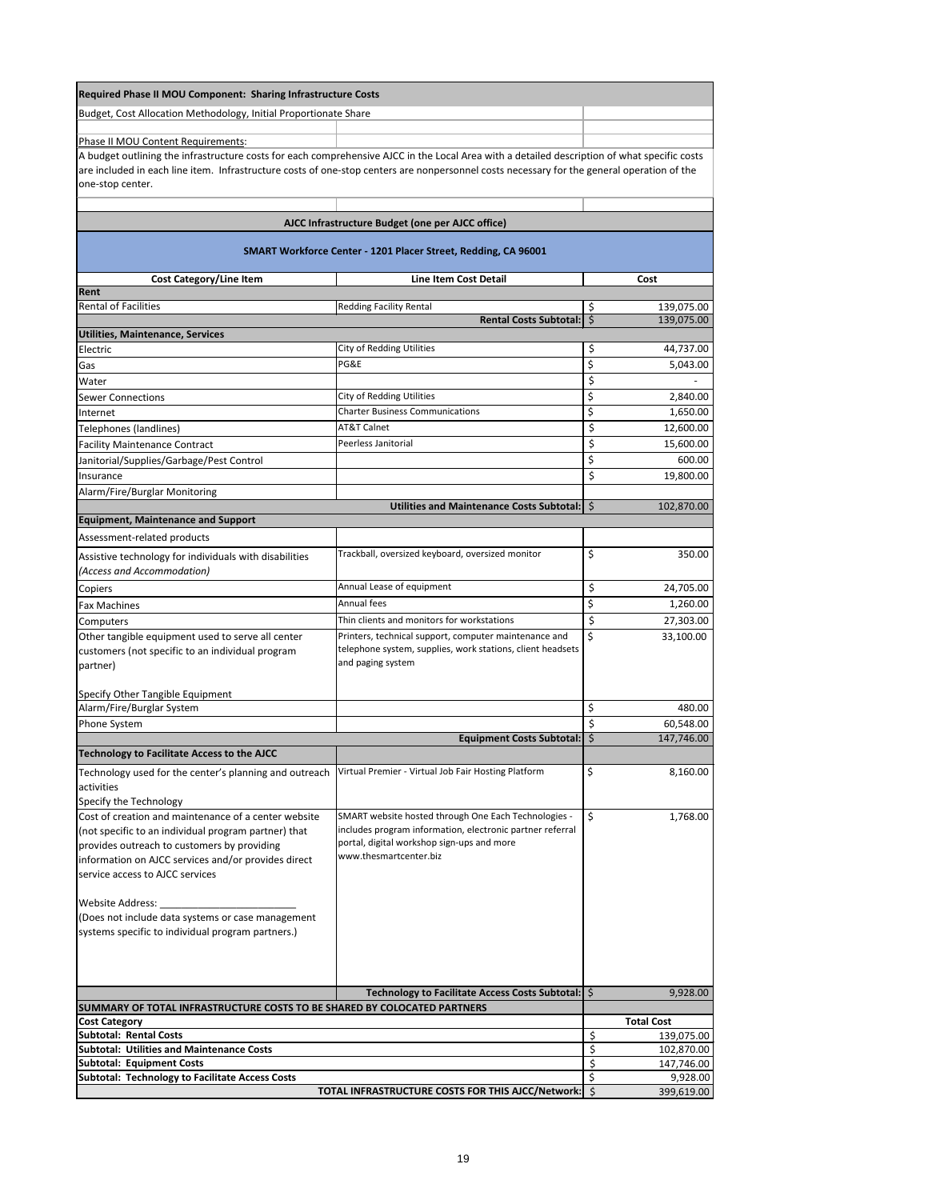| <b>Required Phase II MOU Component: Sharing Infrastructure Costs</b>                                                                                                                                                                                                                                           |                                                                      |                                      |
|----------------------------------------------------------------------------------------------------------------------------------------------------------------------------------------------------------------------------------------------------------------------------------------------------------------|----------------------------------------------------------------------|--------------------------------------|
| Budget, Cost Allocation Methodology, Initial Proportionate Share                                                                                                                                                                                                                                               |                                                                      |                                      |
|                                                                                                                                                                                                                                                                                                                |                                                                      |                                      |
| Phase II MOU Content Requirements:                                                                                                                                                                                                                                                                             |                                                                      |                                      |
| A budget outlining the infrastructure costs for each comprehensive AJCC in the Local Area with a detailed description of what specific costs<br>are included in each line item. Infrastructure costs of one-stop centers are nonpersonnel costs necessary for the general operation of the<br>one-stop center. |                                                                      |                                      |
|                                                                                                                                                                                                                                                                                                                |                                                                      |                                      |
|                                                                                                                                                                                                                                                                                                                | AJCC Infrastructure Budget (one per AJCC office)                     |                                      |
|                                                                                                                                                                                                                                                                                                                | SMART Workforce Center - 1201 Placer Street, Redding, CA 96001       |                                      |
| <b>Cost Category/Line Item</b>                                                                                                                                                                                                                                                                                 | <b>Line Item Cost Detail</b>                                         | Cost                                 |
| Rent<br><b>Rental of Facilities</b>                                                                                                                                                                                                                                                                            | <b>Redding Facility Rental</b>                                       |                                      |
|                                                                                                                                                                                                                                                                                                                | Rental Costs Subtotal: \$                                            | \$<br>139,075.00<br>139,075.00       |
| <b>Utilities, Maintenance, Services</b>                                                                                                                                                                                                                                                                        |                                                                      |                                      |
| Electric                                                                                                                                                                                                                                                                                                       | <b>City of Redding Utilities</b>                                     | \$<br>44,737.00                      |
| Gas                                                                                                                                                                                                                                                                                                            | PG&E                                                                 | \$<br>5,043.00                       |
| Water                                                                                                                                                                                                                                                                                                          |                                                                      | \$                                   |
| <b>Sewer Connections</b>                                                                                                                                                                                                                                                                                       | <b>City of Redding Utilities</b>                                     | \$<br>2,840.00                       |
| Internet                                                                                                                                                                                                                                                                                                       | <b>Charter Business Communications</b>                               | \$<br>1,650.00                       |
| Telephones (landlines)                                                                                                                                                                                                                                                                                         | <b>AT&amp;T Calnet</b>                                               | \$<br>12,600.00                      |
| <b>Facility Maintenance Contract</b>                                                                                                                                                                                                                                                                           | Peerless Janitorial                                                  | \$<br>15,600.00                      |
| Janitorial/Supplies/Garbage/Pest Control                                                                                                                                                                                                                                                                       |                                                                      | \$<br>600.00                         |
| Insurance                                                                                                                                                                                                                                                                                                      |                                                                      | \$<br>19,800.00                      |
| Alarm/Fire/Burglar Monitoring                                                                                                                                                                                                                                                                                  |                                                                      |                                      |
|                                                                                                                                                                                                                                                                                                                | Utilities and Maintenance Costs Subtotal:   \$                       | 102,870.00                           |
| <b>Equipment, Maintenance and Support</b>                                                                                                                                                                                                                                                                      |                                                                      |                                      |
| Assessment-related products                                                                                                                                                                                                                                                                                    |                                                                      |                                      |
| Assistive technology for individuals with disabilities                                                                                                                                                                                                                                                         | Trackball, oversized keyboard, oversized monitor                     | \$<br>350.00                         |
| (Access and Accommodation)                                                                                                                                                                                                                                                                                     |                                                                      |                                      |
| Copiers                                                                                                                                                                                                                                                                                                        | Annual Lease of equipment                                            | \$<br>24,705.00                      |
| <b>Fax Machines</b>                                                                                                                                                                                                                                                                                            | Annual fees                                                          | \$<br>1,260.00                       |
| Computers                                                                                                                                                                                                                                                                                                      | Thin clients and monitors for workstations                           | \$<br>27,303.00                      |
| Other tangible equipment used to serve all center                                                                                                                                                                                                                                                              | Printers, technical support, computer maintenance and                | \$<br>33,100.00                      |
| customers (not specific to an individual program                                                                                                                                                                                                                                                               | telephone system, supplies, work stations, client headsets           |                                      |
| partner)                                                                                                                                                                                                                                                                                                       | and paging system                                                    |                                      |
| Specify Other Tangible Equipment                                                                                                                                                                                                                                                                               |                                                                      |                                      |
| Alarm/Fire/Burglar System                                                                                                                                                                                                                                                                                      |                                                                      | \$<br>480.00                         |
| Phone System                                                                                                                                                                                                                                                                                                   |                                                                      | \$<br>60,548.00                      |
|                                                                                                                                                                                                                                                                                                                | <b>Equipment Costs Subtotal:</b>                                     | $\zeta$<br>147,746.00                |
| <b>Technology to Facilitate Access to the AJCC</b>                                                                                                                                                                                                                                                             |                                                                      |                                      |
| Technology used for the center's planning and outreach                                                                                                                                                                                                                                                         | Virtual Premier - Virtual Job Fair Hosting Platform                  | \$<br>8,160.00                       |
| activities                                                                                                                                                                                                                                                                                                     |                                                                      |                                      |
| Specify the Technology                                                                                                                                                                                                                                                                                         |                                                                      |                                      |
| Cost of creation and maintenance of a center website                                                                                                                                                                                                                                                           | SMART website hosted through One Each Technologies -                 | \$<br>1,768.00                       |
| (not specific to an individual program partner) that                                                                                                                                                                                                                                                           | includes program information, electronic partner referral            |                                      |
| provides outreach to customers by providing                                                                                                                                                                                                                                                                    | portal, digital workshop sign-ups and more<br>www.thesmartcenter.biz |                                      |
| information on AJCC services and/or provides direct                                                                                                                                                                                                                                                            |                                                                      |                                      |
| service access to AJCC services                                                                                                                                                                                                                                                                                |                                                                      |                                      |
| <b>Website Address:</b>                                                                                                                                                                                                                                                                                        |                                                                      |                                      |
| (Does not include data systems or case management                                                                                                                                                                                                                                                              |                                                                      |                                      |
| systems specific to individual program partners.)                                                                                                                                                                                                                                                              |                                                                      |                                      |
|                                                                                                                                                                                                                                                                                                                |                                                                      |                                      |
|                                                                                                                                                                                                                                                                                                                |                                                                      |                                      |
|                                                                                                                                                                                                                                                                                                                |                                                                      |                                      |
|                                                                                                                                                                                                                                                                                                                | Technology to Facilitate Access Costs Subtotal:   \$                 | 9,928.00                             |
| SUMMARY OF TOTAL INFRASTRUCTURE COSTS TO BE SHARED BY COLOCATED PARTNERS                                                                                                                                                                                                                                       |                                                                      |                                      |
| <b>Cost Category</b>                                                                                                                                                                                                                                                                                           |                                                                      | <b>Total Cost</b>                    |
| <b>Subtotal: Rental Costs</b>                                                                                                                                                                                                                                                                                  |                                                                      | \$<br>139,075.00                     |
| <b>Subtotal: Utilities and Maintenance Costs</b><br><b>Subtotal: Equipment Costs</b>                                                                                                                                                                                                                           |                                                                      | \$<br>102,870.00<br>\$<br>147,746.00 |
| <b>Subtotal: Technology to Facilitate Access Costs</b>                                                                                                                                                                                                                                                         |                                                                      | \$<br>9,928.00                       |
|                                                                                                                                                                                                                                                                                                                | TOTAL INFRASTRUCTURE COSTS FOR THIS AJCC/Network:   \$               | 399,619.00                           |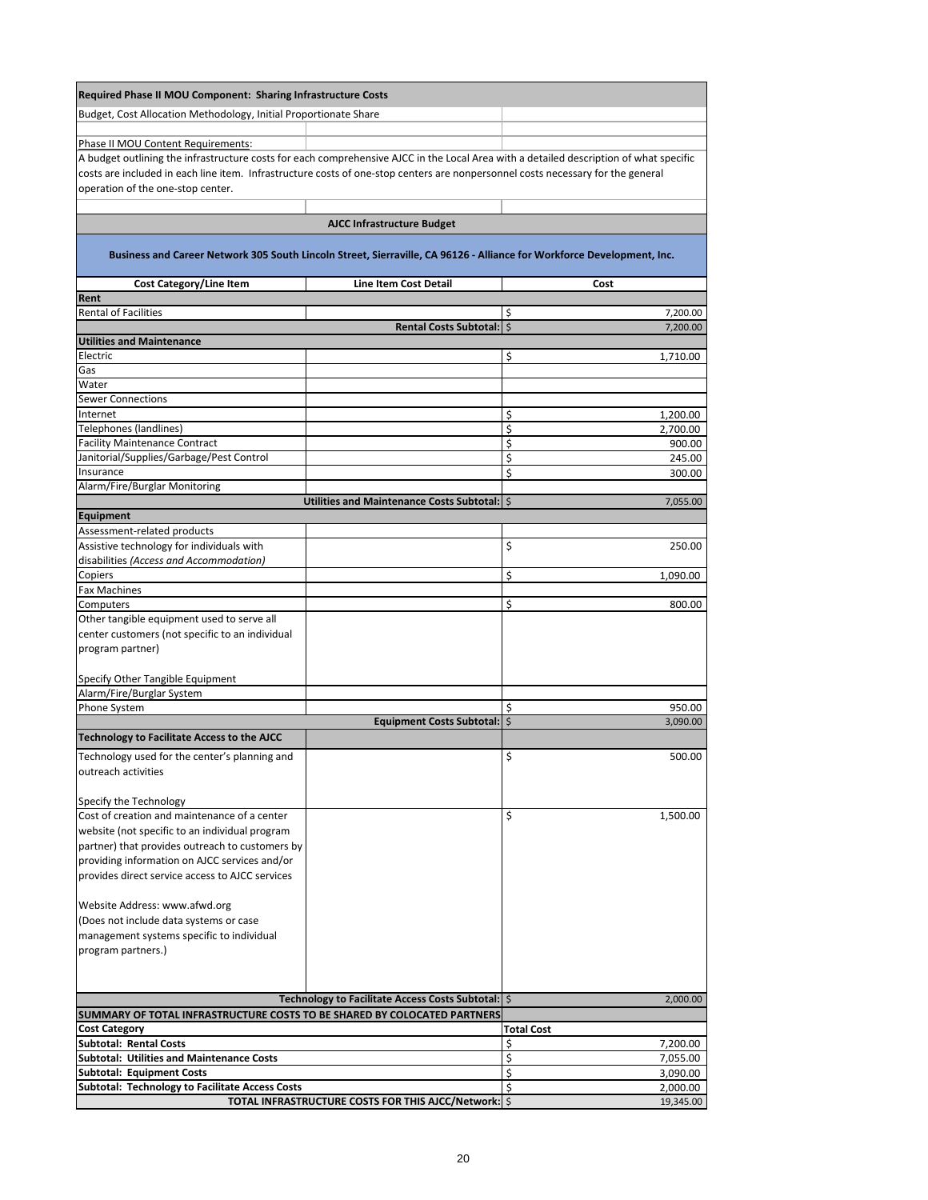| Required Phase II MOU Component: Sharing Infrastructure Costs                                                                          |                                                      |                         |
|----------------------------------------------------------------------------------------------------------------------------------------|------------------------------------------------------|-------------------------|
| Budget, Cost Allocation Methodology, Initial Proportionate Share                                                                       |                                                      |                         |
|                                                                                                                                        |                                                      |                         |
| Phase II MOU Content Requirements:                                                                                                     |                                                      |                         |
| A budget outlining the infrastructure costs for each comprehensive AJCC in the Local Area with a detailed description of what specific |                                                      |                         |
| costs are included in each line item. Infrastructure costs of one-stop centers are nonpersonnel costs necessary for the general        |                                                      |                         |
| operation of the one-stop center.                                                                                                      |                                                      |                         |
|                                                                                                                                        |                                                      |                         |
|                                                                                                                                        |                                                      |                         |
|                                                                                                                                        | <b>AJCC Infrastructure Budget</b>                    |                         |
| Business and Career Network 305 South Lincoln Street, Sierraville, CA 96126 - Alliance for Workforce Development, Inc.                 |                                                      |                         |
| <b>Cost Category/Line Item</b>                                                                                                         | <b>Line Item Cost Detail</b>                         | Cost                    |
| Rent                                                                                                                                   |                                                      |                         |
| <b>Rental of Facilities</b>                                                                                                            |                                                      | \$<br>7,200.00          |
|                                                                                                                                        | Rental Costs Subtotal:   \$                          | 7,200.00                |
| <b>Utilities and Maintenance</b>                                                                                                       |                                                      |                         |
| Electric                                                                                                                               |                                                      | \$<br>1,710.00          |
| Gas                                                                                                                                    |                                                      |                         |
| Water                                                                                                                                  |                                                      |                         |
| <b>Sewer Connections</b>                                                                                                               |                                                      |                         |
| <b>Internet</b>                                                                                                                        |                                                      | \$<br>1,200.00          |
| Telephones (landlines)                                                                                                                 |                                                      | \$<br>2,700.00          |
| <b>Facility Maintenance Contract</b>                                                                                                   |                                                      | \$<br>900.00            |
| Janitorial/Supplies/Garbage/Pest Control                                                                                               |                                                      | \$<br>245.00            |
| Insurance                                                                                                                              |                                                      | \$<br>300.00            |
| Alarm/Fire/Burglar Monitoring                                                                                                          |                                                      |                         |
| Equipment                                                                                                                              | Utilities and Maintenance Costs Subtotal:   \$       | 7,055.00                |
| Assessment-related products                                                                                                            |                                                      |                         |
| Assistive technology for individuals with                                                                                              |                                                      | $\varsigma$<br>250.00   |
| disabilities (Access and Accommodation)                                                                                                |                                                      |                         |
| Copiers                                                                                                                                |                                                      | $\varsigma$<br>1,090.00 |
| <b>Fax Machines</b>                                                                                                                    |                                                      |                         |
| Computers                                                                                                                              |                                                      | $\varsigma$<br>800.00   |
| Other tangible equipment used to serve all                                                                                             |                                                      |                         |
| center customers (not specific to an individual                                                                                        |                                                      |                         |
| program partner)                                                                                                                       |                                                      |                         |
|                                                                                                                                        |                                                      |                         |
| Specify Other Tangible Equipment                                                                                                       |                                                      |                         |
| Alarm/Fire/Burglar System                                                                                                              |                                                      |                         |
| Phone System                                                                                                                           |                                                      | \$<br>950.00            |
|                                                                                                                                        | <b>Equipment Costs Subtotal:</b> \$                  | 3,090.00                |
| <b>Technology to Facilitate Access to the AJCC</b>                                                                                     |                                                      |                         |
| Technology used for the center's planning and                                                                                          |                                                      | \$<br>500.00            |
| outreach activities                                                                                                                    |                                                      |                         |
|                                                                                                                                        |                                                      |                         |
| Specify the Technology                                                                                                                 |                                                      |                         |
| Cost of creation and maintenance of a center                                                                                           |                                                      | $\varsigma$<br>1,500.00 |
| website (not specific to an individual program                                                                                         |                                                      |                         |
| partner) that provides outreach to customers by                                                                                        |                                                      |                         |
| providing information on AJCC services and/or                                                                                          |                                                      |                         |
| provides direct service access to AJCC services                                                                                        |                                                      |                         |
|                                                                                                                                        |                                                      |                         |
| Website Address: www.afwd.org                                                                                                          |                                                      |                         |
| (Does not include data systems or case                                                                                                 |                                                      |                         |
| management systems specific to individual                                                                                              |                                                      |                         |
| program partners.)                                                                                                                     |                                                      |                         |
|                                                                                                                                        |                                                      |                         |
|                                                                                                                                        |                                                      |                         |
|                                                                                                                                        | Technology to Facilitate Access Costs Subtotal:   \$ | 2,000.00                |
| SUMMARY OF TOTAL INFRASTRUCTURE COSTS TO BE SHARED BY COLOCATED PARTNERS                                                               |                                                      |                         |
| <b>Cost Category</b>                                                                                                                   |                                                      | <b>Total Cost</b>       |
| Subtotal: Rental Costs                                                                                                                 |                                                      | \$<br>7,200.00          |
| <b>Subtotal: Utilities and Maintenance Costs</b>                                                                                       |                                                      | \$<br>7,055.00          |
| <b>Subtotal: Equipment Costs</b>                                                                                                       |                                                      | \$<br>3,090.00          |
| <b>Subtotal: Technology to Facilitate Access Costs</b>                                                                                 |                                                      | \$<br>2,000.00          |
|                                                                                                                                        | TOTAL INFRASTRUCTURE COSTS FOR THIS AJCC/Network: \$ | 19,345.00               |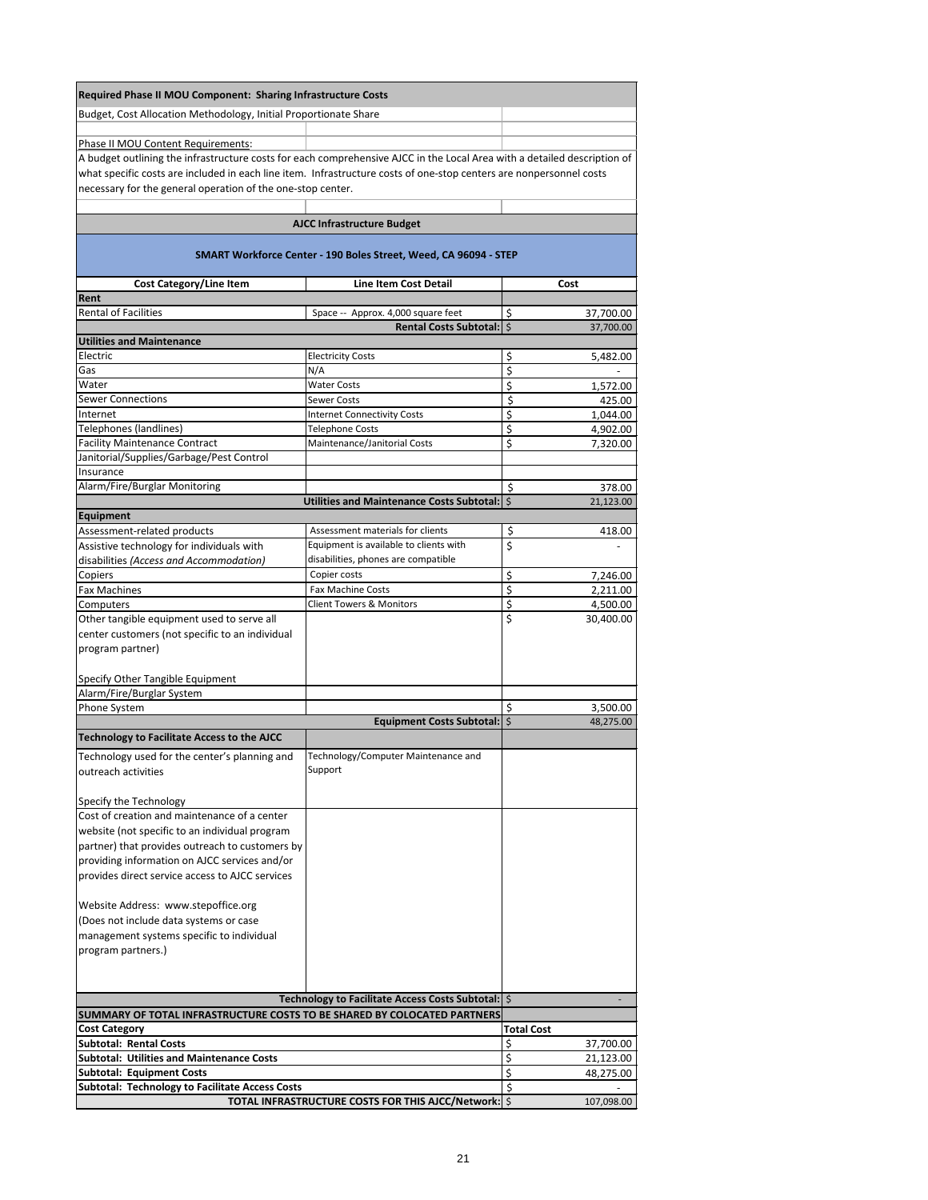| <b>Required Phase II MOU Component: Sharing Infrastructure Costs</b>                                                                                           |                                                                     |                   |                        |
|----------------------------------------------------------------------------------------------------------------------------------------------------------------|---------------------------------------------------------------------|-------------------|------------------------|
| Budget, Cost Allocation Methodology, Initial Proportionate Share                                                                                               |                                                                     |                   |                        |
|                                                                                                                                                                |                                                                     |                   |                        |
| Phase II MOU Content Requirements:<br>A budget outlining the infrastructure costs for each comprehensive AJCC in the Local Area with a detailed description of |                                                                     |                   |                        |
| what specific costs are included in each line item. Infrastructure costs of one-stop centers are nonpersonnel costs                                            |                                                                     |                   |                        |
| necessary for the general operation of the one-stop center.                                                                                                    |                                                                     |                   |                        |
|                                                                                                                                                                |                                                                     |                   |                        |
|                                                                                                                                                                | <b>AJCC Infrastructure Budget</b>                                   |                   |                        |
|                                                                                                                                                                | SMART Workforce Center - 190 Boles Street, Weed, CA 96094 - STEP    |                   |                        |
| <b>Cost Category/Line Item</b>                                                                                                                                 | <b>Line Item Cost Detail</b>                                        |                   | Cost                   |
| Rent<br><b>Rental of Facilities</b>                                                                                                                            |                                                                     |                   |                        |
|                                                                                                                                                                | Space -- Approx. 4,000 square feet<br><b>Rental Costs Subtotal:</b> | \$<br>\$          | 37,700.00<br>37,700.00 |
| <b>Utilities and Maintenance</b>                                                                                                                               |                                                                     |                   |                        |
| Electric                                                                                                                                                       | <b>Electricity Costs</b>                                            | \$                | 5,482.00               |
| Gas                                                                                                                                                            | N/A                                                                 | \$                |                        |
| Water                                                                                                                                                          | <b>Water Costs</b>                                                  | \$                | 1,572.00               |
| <b>Sewer Connections</b>                                                                                                                                       | <b>Sewer Costs</b>                                                  | \$                | 425.00                 |
| Internet                                                                                                                                                       | <b>Internet Connectivity Costs</b>                                  | \$                | 1,044.00               |
| Telephones (landlines)<br><b>Facility Maintenance Contract</b>                                                                                                 | <b>Telephone Costs</b>                                              | \$                | 4,902.00               |
| Janitorial/Supplies/Garbage/Pest Control                                                                                                                       | Maintenance/Janitorial Costs                                        | \$                | 7,320.00               |
| Insurance                                                                                                                                                      |                                                                     |                   |                        |
| Alarm/Fire/Burglar Monitoring                                                                                                                                  |                                                                     | \$                | 378.00                 |
|                                                                                                                                                                | Utilities and Maintenance Costs Subtotal:   \$                      |                   | 21,123.00              |
| Equipment                                                                                                                                                      |                                                                     |                   |                        |
| Assessment-related products                                                                                                                                    | Assessment materials for clients                                    | \$                | 418.00                 |
| Assistive technology for individuals with                                                                                                                      | Equipment is available to clients with                              | \$                |                        |
| disabilities (Access and Accommodation)                                                                                                                        | disabilities, phones are compatible                                 |                   |                        |
| Copiers                                                                                                                                                        | Copier costs                                                        | \$                | 7,246.00               |
| <b>Fax Machines</b>                                                                                                                                            | <b>Fax Machine Costs</b>                                            | \$                | 2,211.00               |
| Computers                                                                                                                                                      | <b>Client Towers &amp; Monitors</b>                                 | \$                | 4,500.00               |
| Other tangible equipment used to serve all                                                                                                                     |                                                                     | \$                | 30,400.00              |
| center customers (not specific to an individual                                                                                                                |                                                                     |                   |                        |
| program partner)                                                                                                                                               |                                                                     |                   |                        |
| Specify Other Tangible Equipment                                                                                                                               |                                                                     |                   |                        |
| Alarm/Fire/Burglar System                                                                                                                                      |                                                                     |                   |                        |
| Phone System                                                                                                                                                   |                                                                     | \$                | 3,500.00               |
|                                                                                                                                                                | Equipment Costs Subtotal:                                           | $\zeta$           | 48,275.00              |
| <b>Technology to Facilitate Access to the AJCC</b>                                                                                                             |                                                                     |                   |                        |
| Technology used for the center's planning and                                                                                                                  | Technology/Computer Maintenance and                                 |                   |                        |
| outreach activities                                                                                                                                            | Support                                                             |                   |                        |
|                                                                                                                                                                |                                                                     |                   |                        |
| Specify the Technology                                                                                                                                         |                                                                     |                   |                        |
| Cost of creation and maintenance of a center                                                                                                                   |                                                                     |                   |                        |
| website (not specific to an individual program                                                                                                                 |                                                                     |                   |                        |
| partner) that provides outreach to customers by                                                                                                                |                                                                     |                   |                        |
| providing information on AJCC services and/or                                                                                                                  |                                                                     |                   |                        |
| provides direct service access to AJCC services                                                                                                                |                                                                     |                   |                        |
| Website Address: www.stepoffice.org                                                                                                                            |                                                                     |                   |                        |
| (Does not include data systems or case                                                                                                                         |                                                                     |                   |                        |
| management systems specific to individual                                                                                                                      |                                                                     |                   |                        |
| program partners.)                                                                                                                                             |                                                                     |                   |                        |
|                                                                                                                                                                |                                                                     |                   |                        |
|                                                                                                                                                                |                                                                     |                   |                        |
|                                                                                                                                                                | Technology to Facilitate Access Costs Subtotal:   \$                |                   |                        |
| SUMMARY OF TOTAL INFRASTRUCTURE COSTS TO BE SHARED BY COLOCATED PARTNERS                                                                                       |                                                                     |                   |                        |
| <b>Cost Category</b>                                                                                                                                           |                                                                     | <b>Total Cost</b> |                        |
| <b>Subtotal: Rental Costs</b>                                                                                                                                  |                                                                     | \$                | 37,700.00              |
| <b>Subtotal: Utilities and Maintenance Costs</b><br><b>Subtotal: Equipment Costs</b>                                                                           |                                                                     | \$<br>\$          | 21,123.00              |
| <b>Subtotal: Technology to Facilitate Access Costs</b>                                                                                                         |                                                                     | \$                | 48,275.00              |
|                                                                                                                                                                | <b>TOTAL INFRASTRUCTURE COSTS FOR THIS AJCC/Network:   \$</b>       |                   | 107,098.00             |
|                                                                                                                                                                |                                                                     |                   |                        |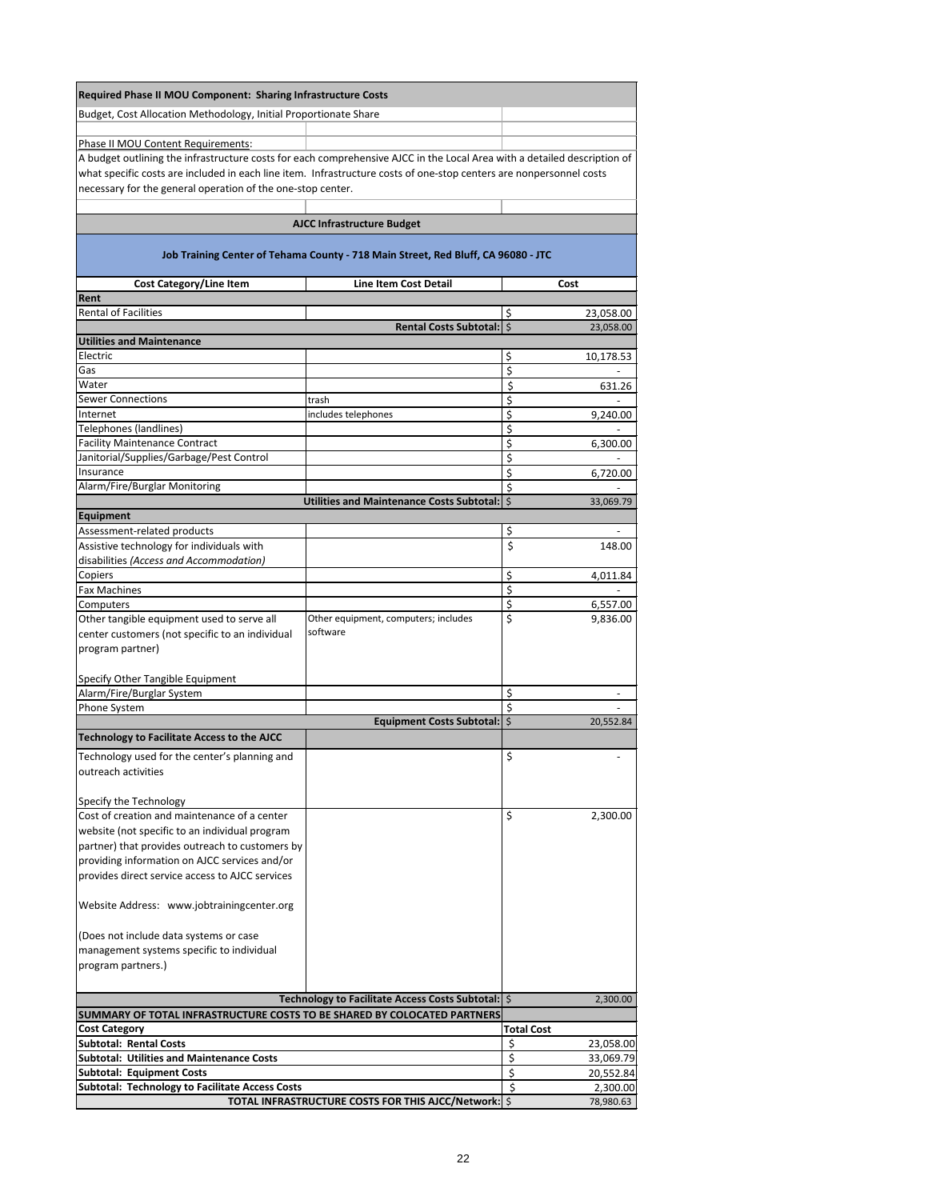| <b>Required Phase II MOU Component: Sharing Infrastructure Costs</b>                                                     |                                                                                   |                                    |
|--------------------------------------------------------------------------------------------------------------------------|-----------------------------------------------------------------------------------|------------------------------------|
| Budget, Cost Allocation Methodology, Initial Proportionate Share                                                         |                                                                                   |                                    |
| Phase II MOU Content Requirements:                                                                                       |                                                                                   |                                    |
| A budget outlining the infrastructure costs for each comprehensive AJCC in the Local Area with a detailed description of |                                                                                   |                                    |
| what specific costs are included in each line item. Infrastructure costs of one-stop centers are nonpersonnel costs      |                                                                                   |                                    |
| necessary for the general operation of the one-stop center.                                                              |                                                                                   |                                    |
|                                                                                                                          |                                                                                   |                                    |
|                                                                                                                          | <b>AJCC Infrastructure Budget</b>                                                 |                                    |
|                                                                                                                          | Job Training Center of Tehama County - 718 Main Street, Red Bluff, CA 96080 - JTC |                                    |
| <b>Cost Category/Line Item</b>                                                                                           | <b>Line Item Cost Detail</b>                                                      | Cost                               |
| Rent<br><b>Rental of Facilities</b>                                                                                      |                                                                                   |                                    |
|                                                                                                                          | <b>Rental Costs Subtotal:</b>                                                     | \$<br>23,058.00<br>\$<br>23,058.00 |
| <b>Utilities and Maintenance</b>                                                                                         |                                                                                   |                                    |
| Electric                                                                                                                 |                                                                                   | \$<br>10,178.53                    |
| Gas<br>Water                                                                                                             |                                                                                   | \$                                 |
| <b>Sewer Connections</b>                                                                                                 | trash                                                                             | \$<br>631.26<br>\$                 |
| Internet                                                                                                                 | includes telephones                                                               | \$<br>9,240.00                     |
| Telephones (landlines)                                                                                                   |                                                                                   | \$                                 |
| <b>Facility Maintenance Contract</b>                                                                                     |                                                                                   | \$<br>6,300.00                     |
| Janitorial/Supplies/Garbage/Pest Control<br>Insurance                                                                    |                                                                                   | \$<br>\$                           |
| Alarm/Fire/Burglar Monitoring                                                                                            |                                                                                   | 6,720.00<br>\$                     |
|                                                                                                                          | Utilities and Maintenance Costs Subtotal:   \$                                    | 33,069.79                          |
| Equipment                                                                                                                |                                                                                   |                                    |
| Assessment-related products                                                                                              |                                                                                   | \$                                 |
| Assistive technology for individuals with<br>disabilities (Access and Accommodation)                                     |                                                                                   | \$<br>148.00                       |
| Copiers                                                                                                                  |                                                                                   | \$<br>4,011.84                     |
| <b>Fax Machines</b>                                                                                                      |                                                                                   | \$                                 |
| Computers                                                                                                                |                                                                                   | \$<br>6,557.00                     |
| Other tangible equipment used to serve all                                                                               | Other equipment, computers; includes<br>software                                  | \$<br>9,836.00                     |
| center customers (not specific to an individual<br>program partner)                                                      |                                                                                   |                                    |
|                                                                                                                          |                                                                                   |                                    |
| Specify Other Tangible Equipment                                                                                         |                                                                                   |                                    |
| Alarm/Fire/Burglar System                                                                                                |                                                                                   | \$                                 |
| Phone System                                                                                                             | <b>Equipment Costs Subtotal:</b>                                                  | \$<br>\$                           |
| <b>Technology to Facilitate Access to the AJCC</b>                                                                       |                                                                                   | 20,552.84                          |
| Technology used for the center's planning and                                                                            |                                                                                   | \$                                 |
| outreach activities                                                                                                      |                                                                                   |                                    |
|                                                                                                                          |                                                                                   |                                    |
| Specify the Technology                                                                                                   |                                                                                   |                                    |
| Cost of creation and maintenance of a center                                                                             |                                                                                   | \$<br>2,300.00                     |
| website (not specific to an individual program<br>partner) that provides outreach to customers by                        |                                                                                   |                                    |
| providing information on AJCC services and/or                                                                            |                                                                                   |                                    |
| provides direct service access to AJCC services                                                                          |                                                                                   |                                    |
| Website Address: www.jobtrainingcenter.org                                                                               |                                                                                   |                                    |
| (Does not include data systems or case                                                                                   |                                                                                   |                                    |
| management systems specific to individual                                                                                |                                                                                   |                                    |
| program partners.)                                                                                                       |                                                                                   |                                    |
|                                                                                                                          |                                                                                   |                                    |
|                                                                                                                          | Technology to Facilitate Access Costs Subtotal:   \$                              | 2,300.00                           |
| SUMMARY OF TOTAL INFRASTRUCTURE COSTS TO BE SHARED BY COLOCATED PARTNERS                                                 |                                                                                   |                                    |
| <b>Cost Category</b><br><b>Subtotal: Rental Costs</b>                                                                    |                                                                                   | <b>Total Cost</b>                  |
| <b>Subtotal: Utilities and Maintenance Costs</b>                                                                         |                                                                                   | \$<br>23,058.00<br>\$<br>33,069.79 |
| <b>Subtotal: Equipment Costs</b>                                                                                         |                                                                                   | \$<br>20,552.84                    |
| <b>Subtotal: Technology to Facilitate Access Costs</b>                                                                   |                                                                                   | \$<br>2,300.00                     |
|                                                                                                                          | TOTAL INFRASTRUCTURE COSTS FOR THIS AJCC/Network: \$                              | 78,980.63                          |